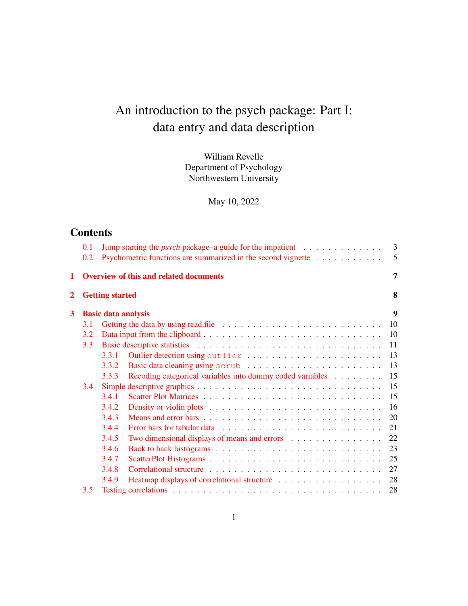# An introduction to the psych package: Part I: data entry and data description

William Revelle Department of Psychology Northwestern University

May 10, 2022

# **Contents**

|   | 0.1 |                            | Jump starting the <i>psych</i> package–a guide for the impatient $\ldots \ldots \ldots \ldots$ | 3              |
|---|-----|----------------------------|------------------------------------------------------------------------------------------------|----------------|
|   | 0.2 |                            | Psychometric functions are summarized in the second vignette                                   | 5              |
| 1 |     |                            | <b>Overview of this and related documents</b>                                                  | $\overline{7}$ |
| 2 |     | <b>Getting started</b>     |                                                                                                | 8              |
| 3 |     | <b>Basic data analysis</b> |                                                                                                | 9              |
|   | 3.1 |                            |                                                                                                | 10             |
|   | 3.2 |                            |                                                                                                | 10             |
|   | 3.3 |                            |                                                                                                | 11             |
|   |     | 3.3.1                      |                                                                                                | 13             |
|   |     | 3.3.2                      |                                                                                                | 13             |
|   |     | 3.3.3                      | Recoding categorical variables into dummy coded variables                                      | 15             |
|   | 3.4 |                            |                                                                                                | 15             |
|   |     | 3.4.1                      |                                                                                                | 15             |
|   |     | 3.4.2                      |                                                                                                | 16             |
|   |     | 3.4.3                      |                                                                                                | 20             |
|   |     | 3.4.4                      |                                                                                                | 21             |
|   |     | 3.4.5                      | Two dimensional displays of means and errors                                                   | 22             |
|   |     | 3.4.6                      |                                                                                                | 23             |
|   |     | 3.4.7                      |                                                                                                | 25             |
|   |     | 3.4.8                      |                                                                                                | 27             |
|   |     | 3.4.9                      |                                                                                                | 28             |
|   | 3.5 |                            |                                                                                                | 28             |
|   |     |                            |                                                                                                |                |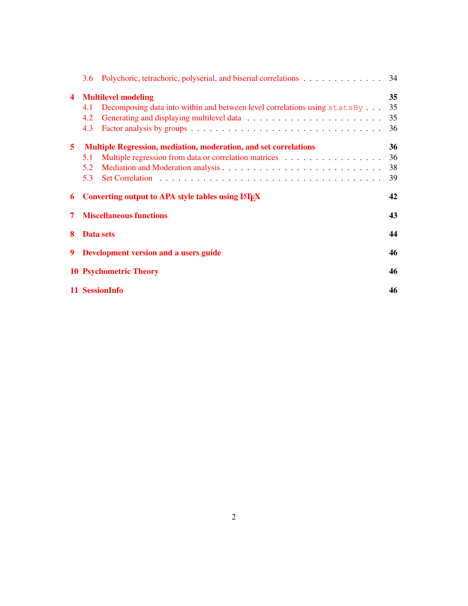|                         | 3.6 |                                                                             | -34 |
|-------------------------|-----|-----------------------------------------------------------------------------|-----|
| $\overline{\mathbf{4}}$ |     | <b>Multilevel modeling</b>                                                  | 35  |
|                         | 4.1 | Decomposing data into within and between level correlations using $statsBy$ | 35  |
|                         | 4.2 |                                                                             | 35  |
|                         | 4.3 |                                                                             | 36  |
| 5                       |     | Multiple Regression, mediation, moderation, and set correlations            | 36  |
|                         | 5.1 |                                                                             | 36  |
|                         | 5.2 |                                                                             | 38  |
|                         | 5.3 |                                                                             | 39  |
|                         |     |                                                                             |     |
| 6                       |     | Converting output to APA style tables using LAT <sub>E</sub> X              | 42  |
| 7                       |     | <b>Miscellaneous functions</b>                                              | 43  |
| 8                       |     | Data sets                                                                   | 44  |
| 9                       |     | Development version and a users guide                                       | 46  |
|                         |     | <b>10 Psychometric Theory</b>                                               | 46  |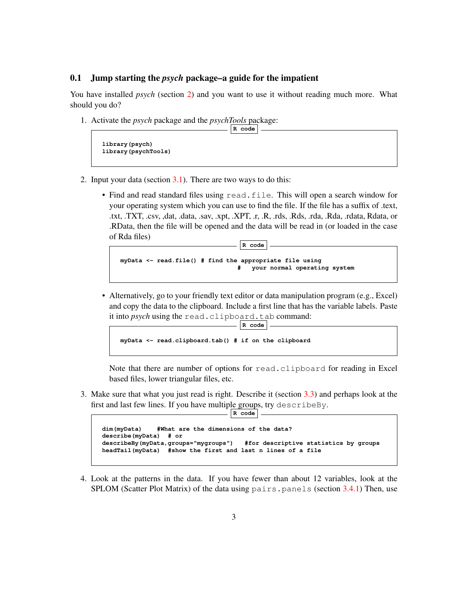### 0.1 Jump starting the *psych* package–a guide for the impatient

You have installed *psych* (section 2) and you want to use it without reading much more. What should you do?

1. Activate the *psych* package and the *psychTools* package:

```
R code
library(psych)
library(psychTools)
```
- 2. Input your data (section  $3.1$ ). There are two ways to do this:
	- Find and read standard files using read.file. This will open a search window for your operating system which you can use to find the file. If the file has a suffix of .text, .txt, .TXT, .csv, ,dat, .data, .sav, .xpt, .XPT, .r, .R, .rds, .Rds, .rda, .Rda, .rdata, Rdata, or .RData, then the file will be opened and the data will be read in (or loaded in the case of Rda files)

**R code**

```
myData <- read.file() # find the appropriate file using
                                    # your normal operating system
```
• Alternatively, go to your friendly text editor or data manipulation program (e.g., Excel) and copy the data to the clipboard. Include a first line that has the variable labels. Paste it into *psych* using the read.clipboard.tab command:

**R code**

```
myData <- read.clipboard.tab() # if on the clipboard
```
Note that there are number of options for read.clipboard for reading in Excel based files, lower triangular files, etc.

3. Make sure that what you just read is right. Describe it (section 3.3) and perhaps look at the first and last few lines. If you have multiple groups, try describeBy.

```
dim(myData) #What are the dimensions of the data?
describe(myData) # or
describeBy(myData,groups="mygroups") #for descriptive statistics by groups
headTail(myData) #show the first and last n lines of a file
```
 $\vert$  **R** code  $\vert$ .

4. Look at the patterns in the data. If you have fewer than about 12 variables, look at the  $SPLOM$  (Scatter Plot Matrix) of the data using pairs. panels (section 3.4.1) Then, use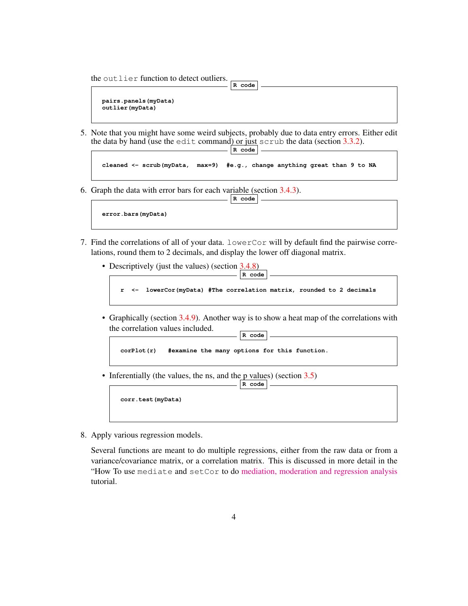the outlier function to detect outliers.

```
pairs.panels(myData)
outlier(myData)
```
5. Note that you might have some weird subjects, probably due to data entry errors. Either edit the data by hand (use the edit command) or just scrub the data (section  $3.3.2$ ). **R code**

**R code**

```
cleaned <- scrub(myData, max=9) #e.g., change anything great than 9 to NA
```
**R code**

6. Graph the data with error bars for each variable (section 3.4.3).

```
error.bars(myData)
```
- 7. Find the correlations of all of your data. lowerCor will by default find the pairwise correlations, round them to 2 decimals, and display the lower off diagonal matrix.
	- Descriptively (just the values) (section 3.4.8) **R code**

```
r <- lowerCor(myData) #The correlation matrix, rounded to 2 decimals
```
• Graphically (section 3.4.9). Another way is to show a heat map of the correlations with the correlation values included. **R code**



• Inferentially (the values, the ns, and the p values) (section  $3.5$ )



8. Apply various regression models.

Several functions are meant to do multiple regressions, either from the raw data or from a variance/covariance matrix, or a correlation matrix. This is discussed in more detail in the "How To use mediate and setCor to do [mediation, moderation and regression analysis](https://personality-project.org/r/psych/HowTo/mediation.pdf) tutorial.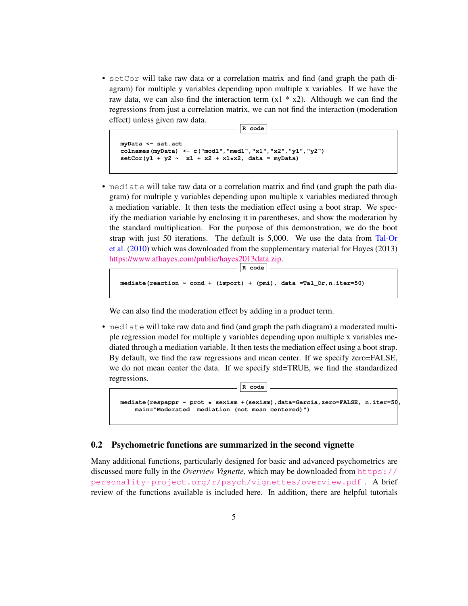• setCor will take raw data or a correlation matrix and find (and graph the path diagram) for multiple y variables depending upon multiple x variables. If we have the raw data, we can also find the interaction term  $(x1 * x2)$ . Although we can find the regressions from just a correlation matrix, we can not find the interaction (moderation effect) unless given raw data.

```
R code
```

```
myData <- sat.act
colnames(myData) <- c("mod1","med1","x1","x2","y1","y2")
setCor(y1 + y2 ~ x1 + x2 + x1*x2, data = myData)
```
• mediate will take raw data or a correlation matrix and find (and graph the path diagram) for multiple y variables depending upon multiple x variables mediated through a mediation variable. It then tests the mediation effect using a boot strap. We specify the mediation variable by enclosing it in parentheses, and show the moderation by the standard multiplication. For the purpose of this demonstration, we do the boot strap with just 50 iterations. The default is 5,000. We use the data from Tal-Or et al. (2010) which was downloaded from the supplementary material for Hayes (2013) [https://www.afhayes.com/public/hayes2013data.zip.]("https://www.afhayes.com/public/hayes2013data.zip")

**R code**

```
mediate(reaction ~ cond + (import) + (pmi), data =Tal_Or,n.iter=50)
```
We can also find the moderation effect by adding in a product term.

• mediate will take raw data and find (and graph the path diagram) a moderated multiple regression model for multiple y variables depending upon multiple x variables mediated through a mediation variable. It then tests the mediation effect using a boot strap. By default, we find the raw regressions and mean center. If we specify zero=FALSE, we do not mean center the data. If we specify std=TRUE, we find the standardized regressions.

| R code                                                                                                                                          |  |
|-------------------------------------------------------------------------------------------------------------------------------------------------|--|
| mediate (respappr $\sim$ prot $\star$ sexism + (sexism), data=Garcia, zero=FALSE, n.iter=50,<br>main="Moderated mediation (not mean centered)") |  |
|                                                                                                                                                 |  |

### 0.2 Psychometric functions are summarized in the second vignette

Many additional functions, particularly designed for basic and advanced psychometrics are discussed more fully in the *Overview Vignette*, which may be downloaded from [https://](https://personality-project.org/r/psych/vignettes/overview.pdf) [personality-project.org/r/psych/vignettes/overview.pdf](https://personality-project.org/r/psych/vignettes/overview.pdf) . A brief review of the functions available is included here. In addition, there are helpful tutorials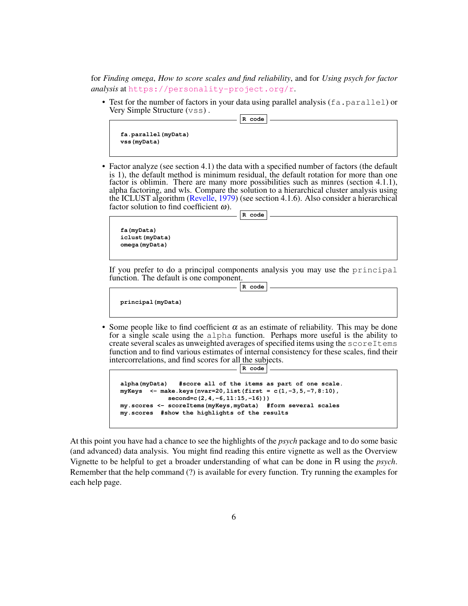for *Finding omega*, *How to score scales and find reliability*, and for *Using psych for factor analysis* at <https://personality-project.org/r>.

• Test for the number of factors in your data using parallel analysis ( $fa$ ,  $parallel$ ) or Very Simple Structure (vss) .

**R code**

```
fa.parallel(myData)
vss(myData)
```
• Factor analyze (see section 4.1) the data with a specified number of factors (the default is 1), the default method is minimum residual, the default rotation for more than one factor is oblimin. There are many more possibilities such as minres (section 4.1.1), alpha factoring, and wls. Compare the solution to a hierarchical cluster analysis using the ICLUST algorithm (Revelle, 1979) (see section 4.1.6). Also consider a hierarchical factor solution to find coefficient  $\omega$ ).

**R code**

**fa(myData) iclust(myData) omega(myData)**

If you prefer to do a principal components analysis you may use the principal function. The default is one component.

```
R code
```
**principal(myData)**

• Some people like to find coefficient  $\alpha$  as an estimate of reliability. This may be done for a single scale using the alpha function. Perhaps more useful is the ability to create several scales as unweighted averages of specified items using the scoreItems function and to find various estimates of internal consistency for these scales, find their intercorrelations, and find scores for all the subjects. **R code**

```
alpha(myData) #score all of the items as part of one scale.
myKeys <- make.keys(nvar=20,list(first = c(1,-3,5,-7,8:10),
            second=c(2,4,-6,11:15,-16)))
my.scores <- scoreItems(myKeys,myData) #form several scales
my.scores #show the highlights of the results
```
At this point you have had a chance to see the highlights of the *psych* package and to do some basic (and advanced) data analysis. You might find reading this entire vignette as well as the Overview Vignette to be helpful to get a broader understanding of what can be done in R using the *psych*. Remember that the help command (?) is available for every function. Try running the examples for each help page.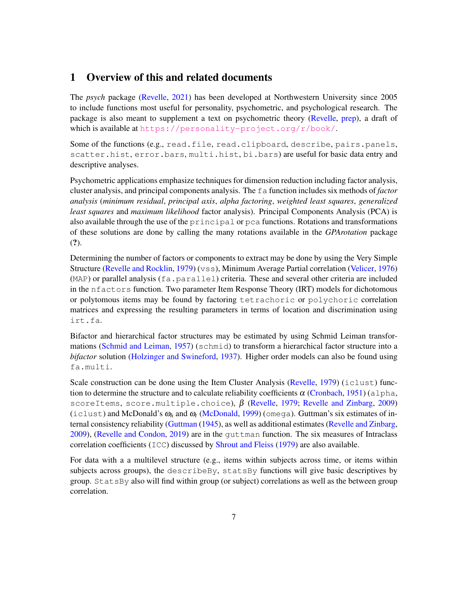# 1 Overview of this and related documents

The *psych* package (Revelle, 2021) has been developed at Northwestern University since 2005 to include functions most useful for personality, psychometric, and psychological research. The package is also meant to supplement a text on psychometric theory (Revelle, prep), a draft of which is available at <https://personality-project.org/r/book/>.

Some of the functions (e.g., read.file, read.clipboard, describe, pairs.panels, scatter.hist, error.bars, multi.hist, bi.bars) are useful for basic data entry and descriptive analyses.

Psychometric applications emphasize techniques for dimension reduction including factor analysis, cluster analysis, and principal components analysis. The fa function includes six methods of *factor analysis* (*minimum residual*, *principal axis*, *alpha factoring*, *weighted least squares*, *generalized least squares* and *maximum likelihood* factor analysis). Principal Components Analysis (PCA) is also available through the use of the principal or pca functions. Rotations and transformations of these solutions are done by calling the many rotations available in the *GPArotation* package (?).

Determining the number of factors or components to extract may be done by using the Very Simple Structure (Revelle and Rocklin, 1979) (vss), Minimum Average Partial correlation (Velicer, 1976)  $(MAP)$  or parallel analysis (fa.parallel) criteria. These and several other criteria are included in the nfactors function. Two parameter Item Response Theory (IRT) models for dichotomous or polytomous items may be found by factoring tetrachoric or polychoric correlation matrices and expressing the resulting parameters in terms of location and discrimination using irt.fa.

Bifactor and hierarchical factor structures may be estimated by using Schmid Leiman transformations (Schmid and Leiman, 1957) (schmid) to transform a hierarchical factor structure into a *bifactor* solution (Holzinger and Swineford, 1937). Higher order models can also be found using fa.multi.

Scale construction can be done using the Item Cluster Analysis (Revelle, 1979) (iclust) function to determine the structure and to calculate reliability coefficients  $\alpha$  (Cronbach, 1951) (alpha, scoreItems, score.multiple.choice),  $\beta$  (Revelle, 1979; Revelle and Zinbarg, 2009) (iclust) and McDonald's  $\omega_h$  and  $\omega_t$  (McDonald, 1999) (omega). Guttman's six estimates of internal consistency reliability (Guttman (1945), as well as additional estimates (Revelle and Zinbarg, 2009), (Revelle and Condon, 2019) are in the guttman function. The six measures of Intraclass correlation coefficients  $(ICC)$  discussed by Shrout and Fleiss (1979) are also available.

For data with a a multilevel structure (e.g., items within subjects across time, or items within subjects across groups), the describeBy, statsBy functions will give basic descriptives by group. StatsBy also will find within group (or subject) correlations as well as the between group correlation.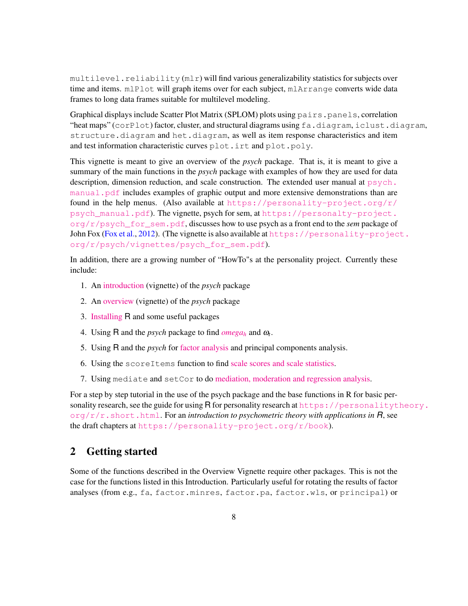$multilevel$ . reliability  $(mlr)$  will find various generalizability statistics for subjects over time and items. mlPlot will graph items over for each subject, mlArrange converts wide data frames to long data frames suitable for multilevel modeling.

Graphical displays include Scatter Plot Matrix (SPLOM) plots using pairs.panels, correlation "heat maps" ( $\c{corPlot}$ ) factor, cluster, and structural diagrams using  $fa$ .diagram, iclust.diagram, structure.diagram and het.diagram, as well as item response characteristics and item and test information characteristic curves plot.irt and plot.poly.

This vignette is meant to give an overview of the *psych* package. That is, it is meant to give a summary of the main functions in the *psych* package with examples of how they are used for data description, dimension reduction, and scale construction. The extended user manual at  $p<sub>svch</sub>$ .  $m$ anual.pdf includes examples of graphic output and more extensive demonstrations than are found in the help menus. (Also available at [https://personality-project.org/r/](https://personality-project.org/r/psych_manual.pdf) [psych\\_manual.pdf](https://personality-project.org/r/psych_manual.pdf)). The vignette, psych for sem, at [https://personalty-project.](https://personalty-project.org/r/psych_for_sem.pdf) [org/r/psych\\_for\\_sem.pdf](https://personalty-project.org/r/psych_for_sem.pdf), discusses how to use psych as a front end to the *sem* package of John Fox (Fox et al., 2012). (The vignette is also available at  $https://personality-project.$  $https://personality-project.$ [org/r/psych/vignettes/psych\\_for\\_sem.pdf]("https://personality-project.org/r/book/psych_for_sem.pdf")).

In addition, there are a growing number of "HowTo"s at the personality project. Currently these include:

- 1. An [introduction](https://personality-project.org/r/psych/intro.pdf) (vignette) of the *psych* package
- 2. An [overview](https://personality-project.org/r/psych/overview.pdf) (vignette) of the *psych* package
- 3. [Installing](https://personality-project.org/r/psych/HowTo/getting_started.pdf) R and some useful packages
- 4. Using R and the *psych* package to find  $omega_h$  $omega_h$  and  $\omega_t$ .
- 5. Using R and the *psych* for [factor analysis](https://personality-project.org/r/psych/HowTo/factor.pdf) and principal components analysis.
- 6. Using the scoreItems function to find [scale scores and scale statistics.](https://personality-project.org/r/psych/HowTo/scoring.pdf)
- 7. Using mediate and setCor to do [mediation, moderation and regression analysis.](https://personality-project.org/r/psych/HowTo/mediation.pdf)

For a step by step tutorial in the use of the psych package and the base functions in R for basic personality research, see the guide for using R for personality research at  $https://personalityresonalitytheory.$  $\frac{\partial \phi}{\partial r}$ . short.html. For an *introduction to psychometric theory with applications in R*, see the draft chapters at <https://personality-project.org/r/book>).

# 2 Getting started

Some of the functions described in the Overview Vignette require other packages. This is not the case for the functions listed in this Introduction. Particularly useful for rotating the results of factor analyses (from e.g., fa, factor.minres, factor.pa, factor.wls, or principal) or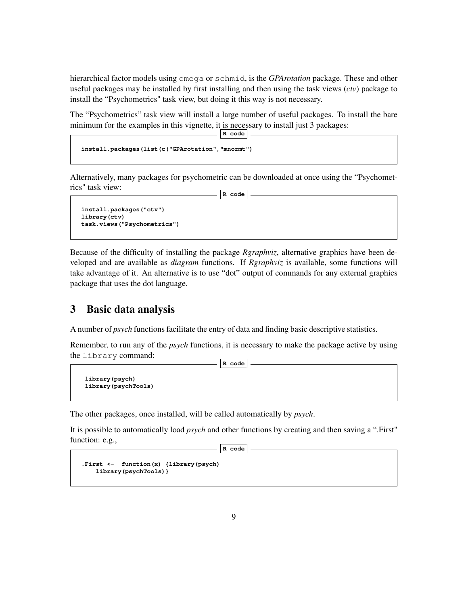hierarchical factor models using omega or schmid, is the *GPArotation* package. These and other useful packages may be installed by first installing and then using the task views (*ctv*) package to install the "Psychometrics" task view, but doing it this way is not necessary.

The "Psychometrics" task view will install a large number of useful packages. To install the bare minimum for the examples in this vignette, it is necessary to install just 3 packages: **R code**

```
install.packages(list(c("GPArotation","mnormt")
```
Alternatively, many packages for psychometric can be downloaded at once using the "Psychometrics" task view: **R code**

```
install.packages("ctv")
library(ctv)
task.views("Psychometrics")
```
Because of the difficulty of installing the package *Rgraphviz*, alternative graphics have been developed and are available as *diagram* functions. If *Rgraphviz* is available, some functions will take advantage of it. An alternative is to use "dot" output of commands for any external graphics package that uses the dot language.

## 3 Basic data analysis

A number of *psych* functions facilitate the entry of data and finding basic descriptive statistics.

Remember, to run any of the *psych* functions, it is necessary to make the package active by using the library command: **R code**

```
library(psych)
library(psychTools)
```
The other packages, once installed, will be called automatically by *psych*.

It is possible to automatically load *psych* and other functions by creating and then saving a ".First" function: e.g.,

```
R code
```

```
.First <- function(x) {library(psych)
   library(psychTools)}
```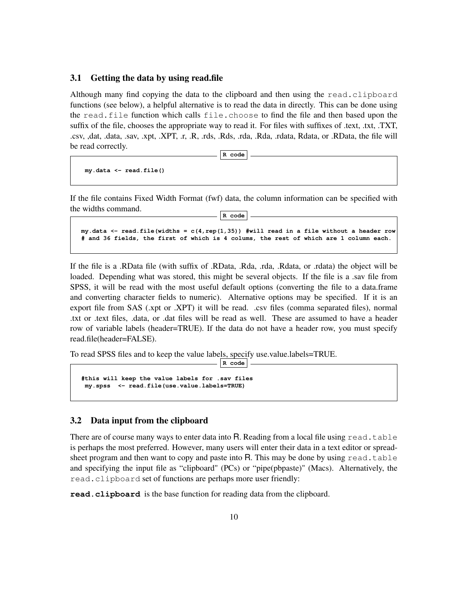#### 3.1 Getting the data by using read.file

Although many find copying the data to the clipboard and then using the read.clipboard functions (see below), a helpful alternative is to read the data in directly. This can be done using the read.file function which calls file.choose to find the file and then based upon the suffix of the file, chooses the appropriate way to read it. For files with suffixes of .text, .txt, .TXT, .csv, ,dat, .data, .sav, .xpt, .XPT, .r, .R, .rds, .Rds, .rda, .Rda, .rdata, Rdata, or .RData, the file will be read correctly.

**R code**

**my.data <- read.file()**

If the file contains Fixed Width Format (fwf) data, the column information can be specified with the widths command. **R code**

```
my.data <- read.file(widths = c(4,rep(1,35)) #will read in a file without a header row
# and 36 fields, the first of which is 4 colums, the rest of which are 1 column each.
```
If the file is a .RData file (with suffix of .RData, .Rda, .rda, .Rdata, or .rdata) the object will be loaded. Depending what was stored, this might be several objects. If the file is a .sav file from SPSS, it will be read with the most useful default options (converting the file to a data.frame and converting character fields to numeric). Alternative options may be specified. If it is an export file from SAS (.xpt or .XPT) it will be read. .csv files (comma separated files), normal .txt or .text files, .data, or .dat files will be read as well. These are assumed to have a header row of variable labels (header=TRUE). If the data do not have a header row, you must specify read.file(header=FALSE).

**R code**

To read SPSS files and to keep the value labels, specify use.value.labels=TRUE.

```
#this will keep the value labels for .sav files
my.spss <- read.file(use.value.labels=TRUE)
```
### 3.2 Data input from the clipboard

There are of course many ways to enter data into R. Reading from a local file using  $read.table$ is perhaps the most preferred. However, many users will enter their data in a text editor or spreadsheet program and then want to copy and paste into R. This may be done by using  $read.table$ and specifying the input file as "clipboard" (PCs) or "pipe(pbpaste)" (Macs). Alternatively, the read.clipboard set of functions are perhaps more user friendly:

**read.clipboard** is the base function for reading data from the clipboard.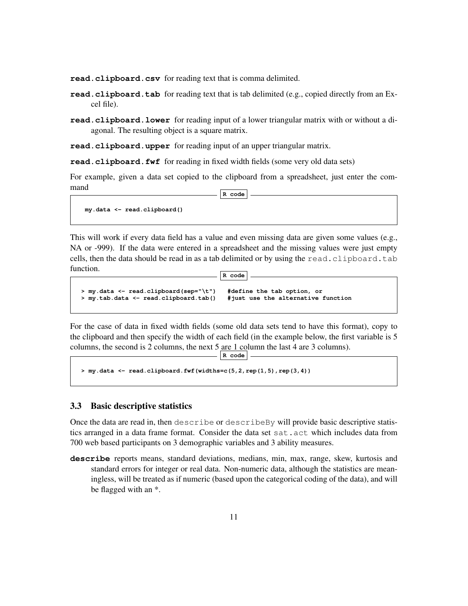**read.clipboard.csv** for reading text that is comma delimited.

- **read.clipboard.tab** for reading text that is tab delimited (e.g., copied directly from an Excel file).
- **read.clipboard.lower** for reading input of a lower triangular matrix with or without a diagonal. The resulting object is a square matrix.

**read.clipboard.upper** for reading input of an upper triangular matrix.

**read.clipboard.fwf** for reading in fixed width fields (some very old data sets)

For example, given a data set copied to the clipboard from a spreadsheet, just enter the command **R code**

**my.data <- read.clipboard()**

This will work if every data field has a value and even missing data are given some values (e.g., NA or -999). If the data were entered in a spreadsheet and the missing values were just empty cells, then the data should be read in as a tab delimited or by using the read.clipboard.tab function. **R code**

```
> my.data <- read.clipboard(sep="\t") #define the tab option, or
> my.tab.data <- read.clipboard.tab() #just use the alternative function
```
For the case of data in fixed width fields (some old data sets tend to have this format), copy to the clipboard and then specify the width of each field (in the example below, the first variable is 5 columns, the second is 2 columns, the next 5 are 1 column the last 4 are 3 columns).

**R code**

```
> my.data <- read.clipboard.fwf(widths=c(5,2,rep(1,5),rep(3,4))
```
#### 3.3 Basic descriptive statistics

Once the data are read in, then describe or describeBy will provide basic descriptive statistics arranged in a data frame format. Consider the data set sat.act which includes data from 700 web based participants on 3 demographic variables and 3 ability measures.

**describe** reports means, standard deviations, medians, min, max, range, skew, kurtosis and standard errors for integer or real data. Non-numeric data, although the statistics are meaningless, will be treated as if numeric (based upon the categorical coding of the data), and will be flagged with an \*.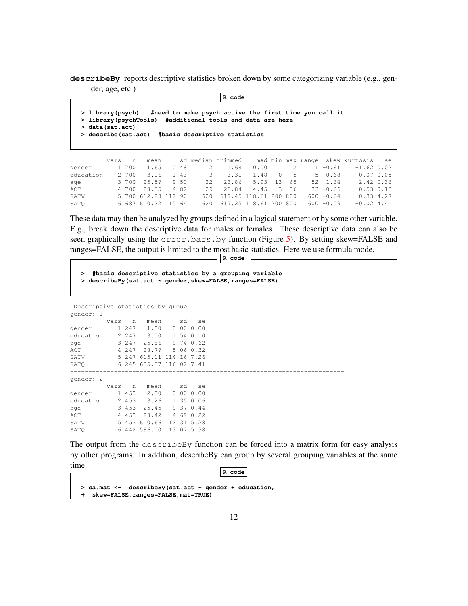**describeBy** reports descriptive statistics broken down by some categorizing variable (e.g., gender, age, etc.) **R code**

**> library(psych) #need to make psych active the first time you call it > library(psychTools) #additional tools and data are here > data(sat.act) > describe(sat.act) #basic descriptive statistics**

|           | vars n |       | mean       |                     |                           |                        |  |              | sd median trimmed mad min max range skew kurtosis se |  |
|-----------|--------|-------|------------|---------------------|---------------------------|------------------------|--|--------------|------------------------------------------------------|--|
| gender    |        | 1 700 | 1.65       | 0.48                | 2 1.68                    | $0.00 \quad 1 \quad 2$ |  | $1 - 0.61$   | $-1.62$ 0.02                                         |  |
| education |        |       | 2 700 3.16 | 1.43                | 3 3.31                    | 1.48 0 5               |  | $5 - 0.68$   | $-0.07, 0.05$                                        |  |
| age       |        |       |            | 3 700 25.59 9.50    | 22 23.86 5.93 13 65       |                        |  | 52 1.64      | 2.42 0.36                                            |  |
| ACT       |        |       |            | 4 700 28.55 4.82    | 29 28.84 4.45 3 36        |                        |  | $33 - 0.66$  | $0.53$ $0.18$                                        |  |
| SATV      |        |       |            | 5 700 612.23 112.90 | 620 619.45 118.61 200 800 |                        |  | $600 - 0.64$ | 0.334.27                                             |  |
| SATO      |        |       |            | 6 687 610.22 115.64 | 620 617.25 118.61 200 800 |                        |  | $600 - 0.59$ | $-0.024.41$                                          |  |

These data may then be analyzed by groups defined in a logical statement or by some other variable. E.g., break down the descriptive data for males or females. These descriptive data can also be seen graphically using the error.bars.by function (Figure 5). By setting skew=FALSE and ranges=FALSE, the output is limited to the most basic statistics. Here we use formula mode.

```
R code
```

```
> #basic descriptive statistics by a grouping variable.
> describeBy(sat.act ~ gender,skew=FALSE,ranges=FALSE)
```
Descriptive statistics by group gender: 1

|           | vars | n       | mean  | sd                       | se |
|-----------|------|---------|-------|--------------------------|----|
| gender    |      | 1 247   | 1.00  | 0.0000.00                |    |
| education |      | 2 2 4 7 | 3.00  | 1.54 0.10                |    |
| age       |      | 3 247   | 25.86 | $9.74 \t0.62$            |    |
| ACT       |      | 4 2 4 7 | 28.79 | 5.06 0.32                |    |
| SATV      |      | 5 247   |       | 615.11 114.16 7.26       |    |
| SATO      |      |         |       | 6 245 635.87 116.02 7.41 |    |
|           |      |         |       |                          |    |
| gender: 2 |      |         |       |                          |    |
|           | vars | n       | mean  | sd                       | se |
| gender    |      | 1 453   | 2.00  | 0.0000.00                |    |
|           |      |         |       |                          |    |
| education |      | 2 453   | 3.26  | 1.35 0.06                |    |
| age       |      | 3 453   | 25.45 | 9.37 0.44                |    |
| ACT       |      | 4 453   | 28.42 | $4.69$ 0.22              |    |
| SATV      |      |         |       | 5 453 610.66 112.31 5.28 |    |

The output from the describeBy function can be forced into a matrix form for easy analysis by other programs. In addition, describeBy can group by several grouping variables at the same time.

```
R code
```

```
> sa.mat <- describeBy(sat.act ~ gender + education,
 + skew=FALSE,ranges=FALSE,mat=TRUE)
```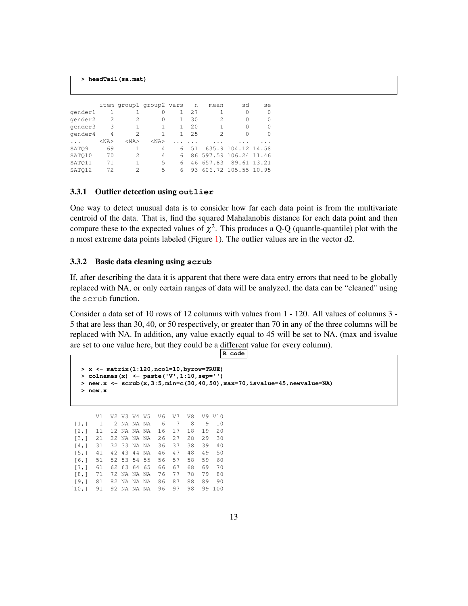```
> headTail(sa.mat)
```

|         |            |            | item groupl group2 vars |    | n   | mean      | sd                     | se          |
|---------|------------|------------|-------------------------|----|-----|-----------|------------------------|-------------|
| gender1 |            |            | 0                       |    | 27  |           | 0                      | 0           |
| gender2 | 2          | 2.         | 0                       | 1. | 30  | 2         | 0                      | O           |
| gender3 | 3          |            |                         |    | 2.0 |           | Ω                      | O           |
| gender4 | 4          | 2          |                         | 1. | 25  | 2         | 0                      | O           |
|         | $<$ NA $>$ | $<$ NA $>$ | $<$ NA $>$              |    |     |           |                        |             |
| SATO9   | 69         |            | 4                       | 6  | 51  |           | 635.9 104.12 14.58     |             |
| SATO10  | 70         | 2.         | 4                       | 6  |     |           | 86 597.59 106.24 11.46 |             |
| SATO11  | 71         |            | 5                       | 6  |     | 46 657.83 |                        | 89.61 13.21 |
| SATO12  | 72         | 2          | 5                       | 6  | 93. |           | 606.72 105.55 10.95    |             |

#### 3.3.1 Outlier detection using **outlier**

One way to detect unusual data is to consider how far each data point is from the multivariate centroid of the data. That is, find the squared Mahalanobis distance for each data point and then compare these to the expected values of  $\chi^2$ . This produces a Q-Q (quantle-quantile) plot with the n most extreme data points labeled (Figure 1). The outlier values are in the vector d2.

#### 3.3.2 Basic data cleaning using **scrub**

[10,] 91 92 NA NA NA 96 97 98 99 100

If, after describing the data it is apparent that there were data entry errors that need to be globally replaced with NA, or only certain ranges of data will be analyzed, the data can be "cleaned" using the scrub function.

Consider a data set of 10 rows of 12 columns with values from 1 - 120. All values of columns 3 - 5 that are less than 30, 40, or 50 respectively, or greater than 70 in any of the three columns will be replaced with NA. In addition, any value exactly equal to 45 will be set to NA. (max and isvalue are set to one value here, but they could be a different value for every column). **R code**

```
> x <- matrix(1:120,ncol=10,byrow=TRUE)
 > colnames(x) <- paste('V',1:10,sep='')
 > new.x <- scrub(x,3:5,min=c(30,40,50),max=70,isvalue=45,newvalue=NA)
 > new.x
     V1 V2 V3 V4 V5 V6 V7 V8 V9 V10
[1,] 1 2 NA NA NA 6 7 8 9 10
[2,] 11 12 NA NA NA 16 17 18 19 20
[3,] 21 22 NA NA NA 26 27 28 29 30
[4,] 31 32 33 NA NA 36 37 38 39 40
[5,] 41 42 43 44 NA 46 47 48 49 50
[6,] 51 52 53 54 55 56 57 58 59 60
[7, 1 61 62 63 64 65][8,] 71 72 NA NA NA 76 77 78 79 80
[9,] 81 82 NA NA NA 86 87 88 89 90
```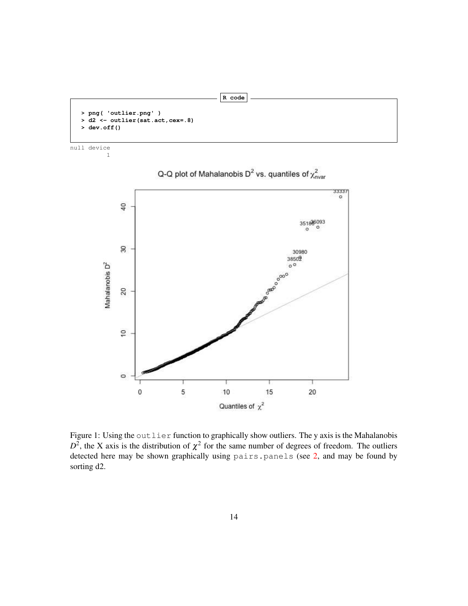```
> png( 'outlier.png' )
> d2 <- outlier(sat.act,cex=.8)
 > dev.off()
```

```
null device
          1
```


Q-Q plot of Mahalanobis D<sup>2</sup> vs. quantiles of  $\chi^2_{\text{nuar}}$ 

**R code**

Figure 1: Using the outlier function to graphically show outliers. The y axis is the Mahalanobis  $D^2$ , the X axis is the distribution of  $\chi^2$  for the same number of degrees of freedom. The outliers detected here may be shown graphically using pairs.panels (see 2, and may be found by sorting d2.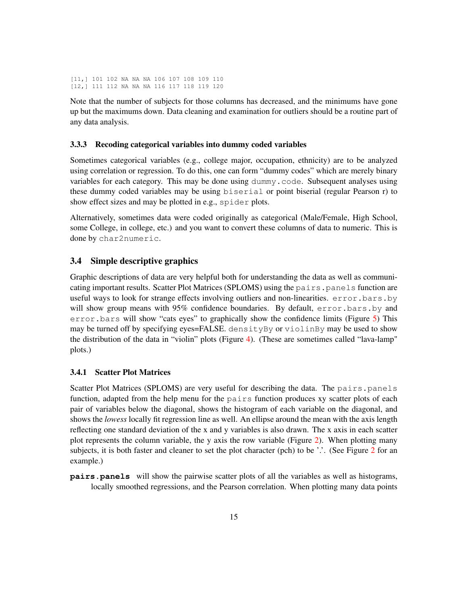[11,] 101 102 NA NA NA 106 107 108 109 110 [12,] 111 112 NA NA NA 116 117 118 119 120

Note that the number of subjects for those columns has decreased, and the minimums have gone up but the maximums down. Data cleaning and examination for outliers should be a routine part of any data analysis.

#### 3.3.3 Recoding categorical variables into dummy coded variables

Sometimes categorical variables (e.g., college major, occupation, ethnicity) are to be analyzed using correlation or regression. To do this, one can form "dummy codes" which are merely binary variables for each category. This may be done using dummy.code. Subsequent analyses using these dummy coded variables may be using biserial or point biserial (regular Pearson r) to show effect sizes and may be plotted in e.g., spider plots.

Alternatively, sometimes data were coded originally as categorical (Male/Female, High School, some College, in college, etc.) and you want to convert these columns of data to numeric. This is done by char2numeric.

### 3.4 Simple descriptive graphics

Graphic descriptions of data are very helpful both for understanding the data as well as communicating important results. Scatter Plot Matrices (SPLOMS) using the pairs. panels function are useful ways to look for strange effects involving outliers and non-linearities. error.bars.by will show group means with 95% confidence boundaries. By default, error.bars.by and error.bars will show "cats eyes" to graphically show the confidence limits (Figure 5) This may be turned off by specifying eyes=FALSE. densityBy or violinBy may be used to show the distribution of the data in "violin" plots (Figure 4). (These are sometimes called "lava-lamp" plots.)

### 3.4.1 Scatter Plot Matrices

Scatter Plot Matrices (SPLOMS) are very useful for describing the data. The pairs.panels function, adapted from the help menu for the pairs function produces xy scatter plots of each pair of variables below the diagonal, shows the histogram of each variable on the diagonal, and shows the *lowess* locally fit regression line as well. An ellipse around the mean with the axis length reflecting one standard deviation of the x and y variables is also drawn. The x axis in each scatter plot represents the column variable, the y axis the row variable (Figure 2). When plotting many subjects, it is both faster and cleaner to set the plot character (pch) to be '.'. (See Figure 2 for an example.)

**pairs.panels** will show the pairwise scatter plots of all the variables as well as histograms, locally smoothed regressions, and the Pearson correlation. When plotting many data points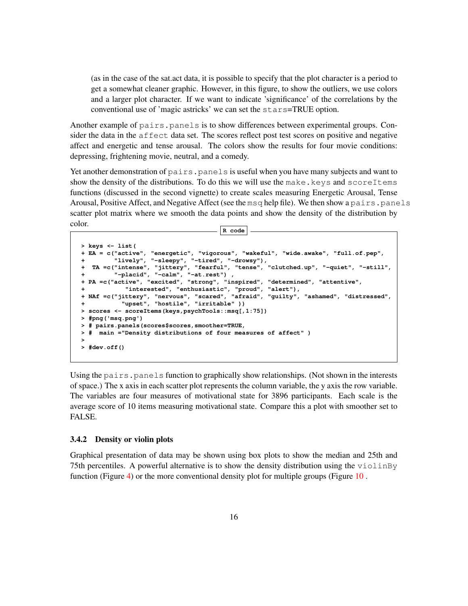(as in the case of the sat.act data, it is possible to specify that the plot character is a period to get a somewhat cleaner graphic. However, in this figure, to show the outliers, we use colors and a larger plot character. If we want to indicate 'significance' of the correlations by the conventional use of 'magic astricks' we can set the stars=TRUE option.

Another example of pairs.panels is to show differences between experimental groups. Consider the data in the affect data set. The scores reflect post test scores on positive and negative affect and energetic and tense arousal. The colors show the results for four movie conditions: depressing, frightening movie, neutral, and a comedy.

Yet another demonstration of pairs.panels is useful when you have many subjects and want to show the density of the distributions. To do this we will use the make.keys and scoreItems functions (discussed in the second vignette) to create scales measuring Energetic Arousal, Tense Arousal, Positive Affect, and Negative Affect (see the  $\text{msg}$  help file). We then show a pairs.panels scatter plot matrix where we smooth the data points and show the density of the distribution by color. **R code**

```
> keys <- list(
+ EA = c("active", "energetic", "vigorous", "wakeful", "wide.awake", "full.of.pep",
         + "lively", "-sleepy", "-tired", "-drowsy"),
+ TA =c("intense", "jittery", "fearful", "tense", "clutched.up", "-quiet", "-still",
+ "-placid", "-calm", "-at.rest") ,
+ PA =c("active", "excited", "strong", "inspired", "determined", "attentive",
+ "interested", "enthusiastic", "proud", "alert"),
+ NAf =c("jittery", "nervous", "scared", "afraid", "guilty", "ashamed", "distressed",
+ "upset", "hostile", "irritable" ))
> scores <- scoreItems(keys,psychTools::msq[,1:75])
> #png('msq.png')
> # pairs.panels(scores$scores,smoother=TRUE,
> # main ="Density distributions of four measures of affect" )
>
> #dev.off()
```
Using the pairs. panels function to graphically show relationships. (Not shown in the interests of space.) The x axis in each scatter plot represents the column variable, the y axis the row variable. The variables are four measures of motivational state for 3896 participants. Each scale is the average score of 10 items measuring motivational state. Compare this a plot with smoother set to FALSE.

#### 3.4.2 Density or violin plots

Graphical presentation of data may be shown using box plots to show the median and 25th and 75th percentiles. A powerful alternative is to show the density distribution using the violinBy function (Figure 4) or the more conventional density plot for multiple groups (Figure 10 .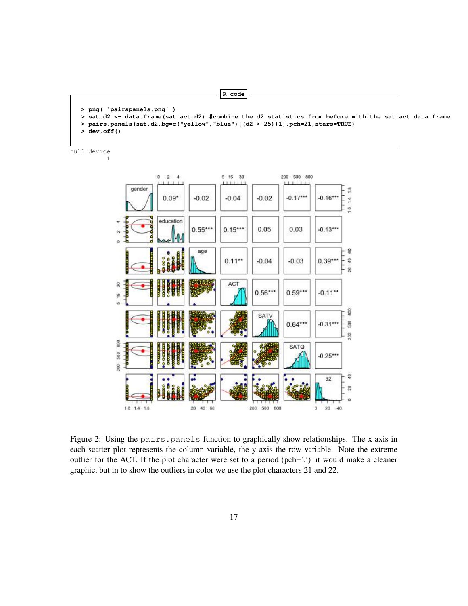```
> png( 'pairspanels.png' )
> sat.d2 <- data.frame(sat.act,d2) #combine the d2 statistics from before with the sat act data.frame
> pairs.panels(sat.d2,bg=c("yellow","blue")[(d2 > 25)+1],pch=21,stars=TRUE)
> dev.off()
```
**R code**

null device

1



Figure 2: Using the pairs.panels function to graphically show relationships. The x axis in each scatter plot represents the column variable, the y axis the row variable. Note the extreme outlier for the ACT. If the plot character were set to a period (pch='.') it would make a cleaner graphic, but in to show the outliers in color we use the plot characters 21 and 22.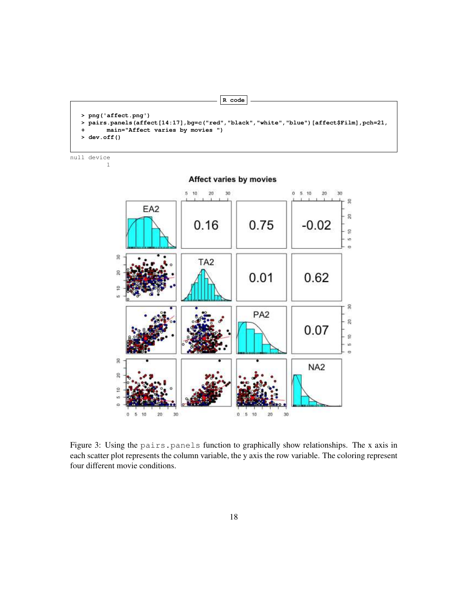```
> png('affect.png')
> pairs.panels(affect[14:17],bg=c("red","black","white","blue")[affect$Film],pch=21,
+ main="Affect varies by movies ")
> dev.off()
```
**R code**

null device



Figure 3: Using the pairs.panels function to graphically show relationships. The x axis in each scatter plot represents the column variable, the y axis the row variable. The coloring represent four different movie conditions.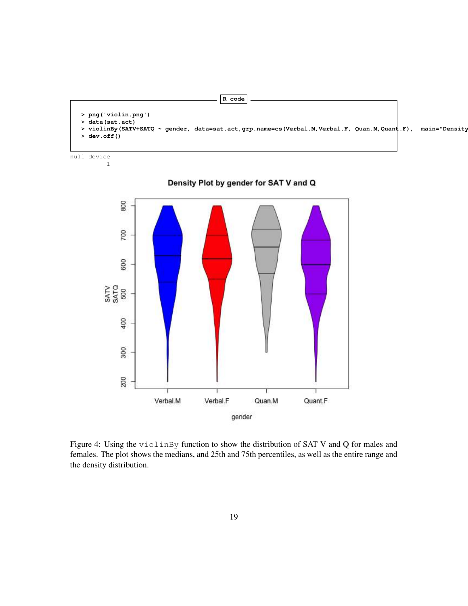```
R code
> png('violin.png')
> data(sat.act)
> violinBy(SATV+SATQ ~ gender, data=sat.act,grp.name=cs(Verbal.M,Verbal.F, Quan.M,Quant.F), main="Density
> dev.off()
```
null device 1



Density Plot by gender for SAT V and Q

Figure 4: Using the violinBy function to show the distribution of SAT V and Q for males and females. The plot shows the medians, and 25th and 75th percentiles, as well as the entire range and the density distribution.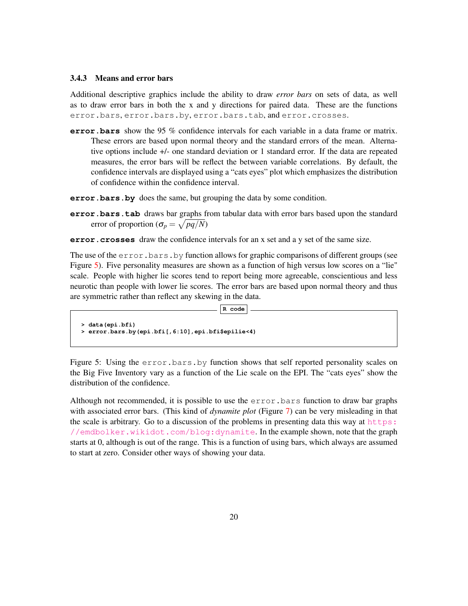#### 3.4.3 Means and error bars

Additional descriptive graphics include the ability to draw *error bars* on sets of data, as well as to draw error bars in both the x and y directions for paired data. These are the functions error.bars, error.bars.by, error.bars.tab, and error.crosses.

**error.bars** show the 95 % confidence intervals for each variable in a data frame or matrix. These errors are based upon normal theory and the standard errors of the mean. Alternative options include +/- one standard deviation or 1 standard error. If the data are repeated measures, the error bars will be reflect the between variable correlations. By default, the confidence intervals are displayed using a "cats eyes" plot which emphasizes the distribution of confidence within the confidence interval.

**error.bars.by** does the same, but grouping the data by some condition.

- **error.bars.tab** draws bar graphs from tabular data with error bars based upon the standard error of proportion ( $\sigma_p = \sqrt{pq/N}$ )
- **error.crosses** draw the confidence intervals for an x set and a y set of the same size.

The use of the  $error.bars. by function allows for graphic comparisons of different groups (see)$ Figure 5). Five personality measures are shown as a function of high versus low scores on a "lie" scale. People with higher lie scores tend to report being more agreeable, conscientious and less neurotic than people with lower lie scores. The error bars are based upon normal theory and thus are symmetric rather than reflect any skewing in the data.

**R code**

```
> data(epi.bfi)
> error.bars.by(epi.bfi[,6:10],epi.bfi$epilie<4)
```
Figure 5: Using the error.bars.by function shows that self reported personality scales on the Big Five Inventory vary as a function of the Lie scale on the EPI. The "cats eyes" show the distribution of the confidence.

Although not recommended, it is possible to use the error.bars function to draw bar graphs with associated error bars. (This kind of *dynamite plot* (Figure 7) can be very misleading in that the scale is arbitrary. Go to a discussion of the problems in presenting data this way at  $https$ : [//emdbolker.wikidot.com/blog:dynamite](https://emdbolker.wikidot.com/blog:dynamite). In the example shown, note that the graph starts at 0, although is out of the range. This is a function of using bars, which always are assumed to start at zero. Consider other ways of showing your data.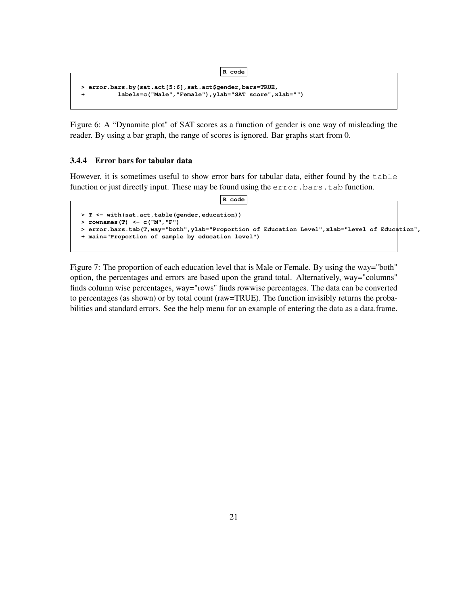```
> error.bars.by(sat.act[5:6],sat.act$gender,bars=TRUE,
+ labels=c("Male","Female"),ylab="SAT score",xlab="")
```
Figure 6: A "Dynamite plot" of SAT scores as a function of gender is one way of misleading the reader. By using a bar graph, the range of scores is ignored. Bar graphs start from 0.

**R code**

### 3.4.4 Error bars for tabular data

However, it is sometimes useful to show error bars for tabular data, either found by the table function or just directly input. These may be found using the error.bars.tab function.

**R code**

```
> T <- with(sat.act,table(gender,education))
> rownames(T) <- c("M","F")
> error.bars.tab(T,way="both",ylab="Proportion of Education Level",xlab="Level of Education",
+ main="Proportion of sample by education level")
```
Figure 7: The proportion of each education level that is Male or Female. By using the way="both" option, the percentages and errors are based upon the grand total. Alternatively, way="columns" finds column wise percentages, way="rows" finds rowwise percentages. The data can be converted to percentages (as shown) or by total count (raw=TRUE). The function invisibly returns the probabilities and standard errors. See the help menu for an example of entering the data as a data.frame.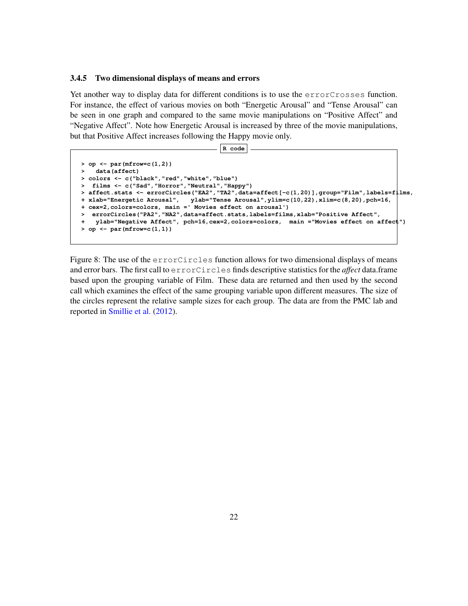#### 3.4.5 Two dimensional displays of means and errors

Yet another way to display data for different conditions is to use the errorCrosses function. For instance, the effect of various movies on both "Energetic Arousal" and "Tense Arousal" can be seen in one graph and compared to the same movie manipulations on "Positive Affect" and "Negative Affect". Note how Energetic Arousal is increased by three of the movie manipulations, but that Positive Affect increases following the Happy movie only.

```
R code
```

```
> op <- par(mfrow=c(1,2))
> data(affect)
> colors <- c("black","red","white","blue")
  > films <- c("Sad","Horror","Neutral","Happy")
> affect.stats <- errorCircles("EA2","TA2",data=affect[-c(1,20)],group="Film",labels=films,
+ xlab="Energetic Arousal", ylab="Tense Arousal",ylim=c(10,22),xlim=c(8,20),pch=16,
+ cex=2,colors=colors, main =' Movies effect on arousal')
> errorCircles("PA2","NA2",data=affect.stats,labels=films,xlab="Positive Affect",
   + ylab="Negative Affect", pch=16,cex=2,colors=colors, main ="Movies effect on affect")
> op <- par(mfrow=c(1,1))
```
Figure 8: The use of the errorCircles function allows for two dimensional displays of means and error bars. The first call to errorCircles finds descriptive statistics for the *affect* data.frame based upon the grouping variable of Film. These data are returned and then used by the second call which examines the effect of the same grouping variable upon different measures. The size of the circles represent the relative sample sizes for each group. The data are from the PMC lab and reported in Smillie et al. (2012).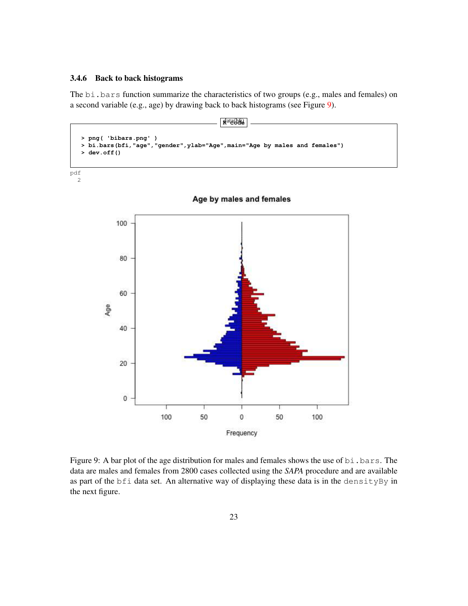### 3.4.6 Back to back histograms

The bi.bars function summarize the characteristics of two groups (e.g., males and females) on a second variable (e.g., age) by drawing back to back histograms (see Figure 9).



pdf 2



Figure 9: A bar plot of the age distribution for males and females shows the use of bi.bars. The data are males and females from 2800 cases collected using the *SAPA* procedure and are available as part of the bfi data set. An alternative way of displaying these data is in the densityBy in the next figure.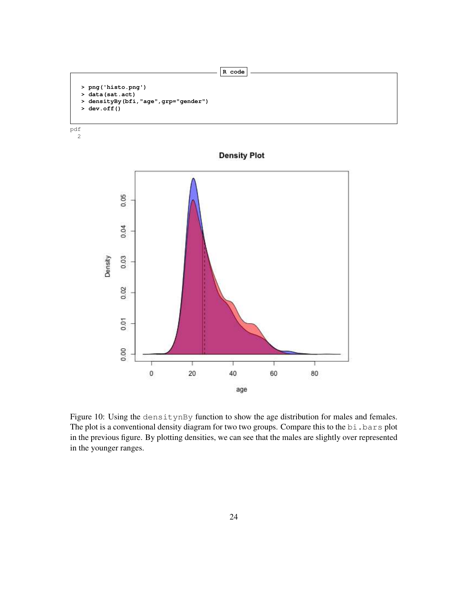





**Density Plot** 

Figure 10: Using the densitynBy function to show the age distribution for males and females. The plot is a conventional density diagram for two two groups. Compare this to the bi.bars plot in the previous figure. By plotting densities, we can see that the males are slightly over represented in the younger ranges.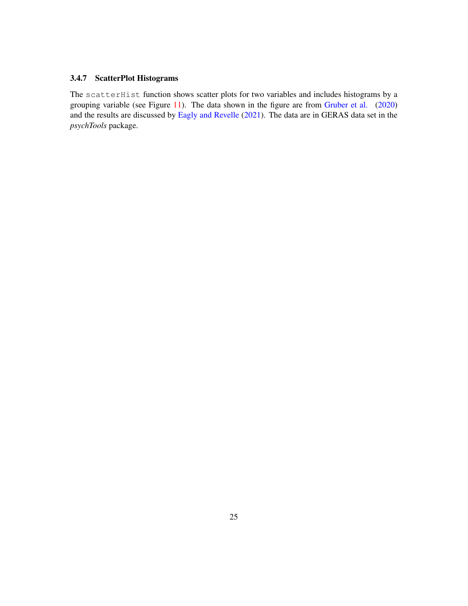### 3.4.7 ScatterPlot Histograms

The scatterHist function shows scatter plots for two variables and includes histograms by a grouping variable (see Figure 11). The data shown in the figure are from Gruber et al. (2020) and the results are discussed by Eagly and Revelle (2021). The data are in GERAS data set in the *psychTools* package.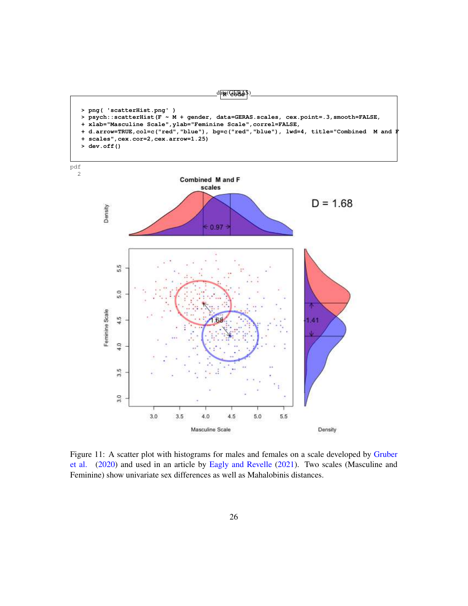





Figure 11: A scatter plot with histograms for males and females on a scale developed by Gruber et al. (2020) and used in an article by Eagly and Revelle (2021). Two scales (Masculine and Feminine) show univariate sex differences as well as Mahalobinis distances.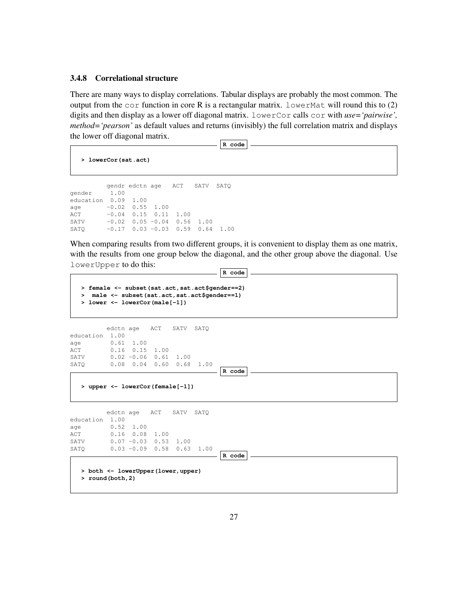#### 3.4.8 Correlational structure

There are many ways to display correlations. Tabular displays are probably the most common. The output from the  $\cot$  function in core R is a rectangular matrix. LowerMat will round this to (2) digits and then display as a lower off diagonal matrix. lowerCor calls cor with *use='pairwise', method='pearson'* as default values and returns (invisibly) the full correlation matrix and displays the lower off diagonal matrix.

**R code**

```
> lowerCor(sat.act)
```

```
gendr edctn age ACT SATV SATQ
gender 1.00
education 0.09 1.00
age -0.02 0.55 1.00
ACT -0.04 0.15 0.11 1.00
SATV -0.02 0.05 -0.04 0.56 1.00
SATQ -0.17 0.03 -0.03 0.59 0.64 1.00
```
When comparing results from two different groups, it is convenient to display them as one matrix, with the results from one group below the diagonal, and the other group above the diagonal. Use lowerUpper to do this: **R code**

**R code**

```
> female <- subset(sat.act,sat.act$gender==2)
> male <- subset(sat.act,sat.act$gender==1)
> lower <- lowerCor(male[-1])
```

```
edctn age ACT SATV SATQ
education 1.00
age 0.61 1.00
ACT 0.16 0.15 1.00
SATV 0.02 -0.06 0.61 1.00
SATQ 0.08 0.04 0.60 0.68 1.00
```
**> upper <- lowerCor(female[-1])**

edctn age ACT SATV SATQ education 1.00 age 0.52 1.00 ACT 0.16 0.08 1.00 SATV 0.07 -0.03 0.53 1.00 SATQ 0.03 -0.09 0.58 0.63 1.00

**R code**

**> both <- lowerUpper(lower,upper) > round(both,2)**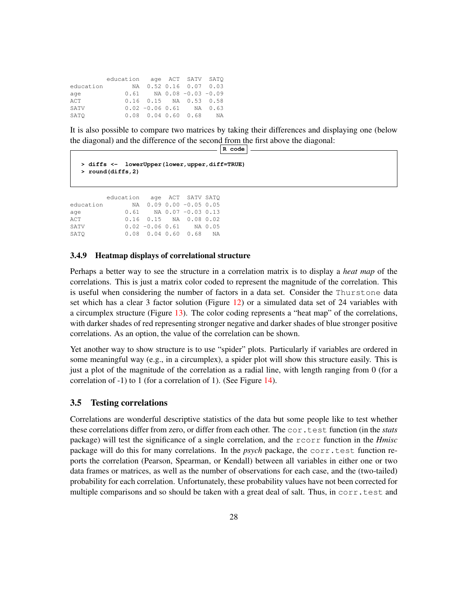|           | education age ACT SATV SATO |                                |  |  |
|-----------|-----------------------------|--------------------------------|--|--|
| education |                             | NA 0.52 0.16 0.07 0.03         |  |  |
| age       |                             | $0.61$ NA $0.08 - 0.03 - 0.09$ |  |  |
| ACT       |                             | $0.16$ $0.15$ NA $0.53$ $0.58$ |  |  |
| SATV      |                             | $0.02 - 0.06 0.61$ NA 0.63     |  |  |
| SATO      |                             | $0.08$ 0.04 0.60 0.68 NA       |  |  |

It is also possible to compare two matrices by taking their differences and displaying one (below the diagonal) and the difference of the second from the first above the diagonal: **R code**

```
> diffs <- lowerUpper(lower,upper,diff=TRUE)
> round(diffs,2)
```
education age ACT SATV SATQ education NA 0.09 0.00 -0.05 0.05 age 0.61 NA 0.07 -0.03 0.13 ACT 0.16 0.15 NA 0.08 0.02 SATV 0.02 -0.06 0.61 NA 0.05 SATQ 0.08 0.04 0.60 0.68 NA

#### 3.4.9 Heatmap displays of correlational structure

Perhaps a better way to see the structure in a correlation matrix is to display a *heat map* of the correlations. This is just a matrix color coded to represent the magnitude of the correlation. This is useful when considering the number of factors in a data set. Consider the Thurstone data set which has a clear 3 factor solution (Figure 12) or a simulated data set of 24 variables with a circumplex structure (Figure 13). The color coding represents a "heat map" of the correlations, with darker shades of red representing stronger negative and darker shades of blue stronger positive correlations. As an option, the value of the correlation can be shown.

Yet another way to show structure is to use "spider" plots. Particularly if variables are ordered in some meaningful way (e.g., in a circumplex), a spider plot will show this structure easily. This is just a plot of the magnitude of the correlation as a radial line, with length ranging from 0 (for a correlation of -1) to 1 (for a correlation of 1). (See Figure 14).

#### 3.5 Testing correlations

Correlations are wonderful descriptive statistics of the data but some people like to test whether these correlations differ from zero, or differ from each other. The cor.test function (in the *stats* package) will test the significance of a single correlation, and the rcorr function in the *Hmisc* package will do this for many correlations. In the *psych* package, the corr.test function reports the correlation (Pearson, Spearman, or Kendall) between all variables in either one or two data frames or matrices, as well as the number of observations for each case, and the (two-tailed) probability for each correlation. Unfortunately, these probability values have not been corrected for multiple comparisons and so should be taken with a great deal of salt. Thus, in corr.test and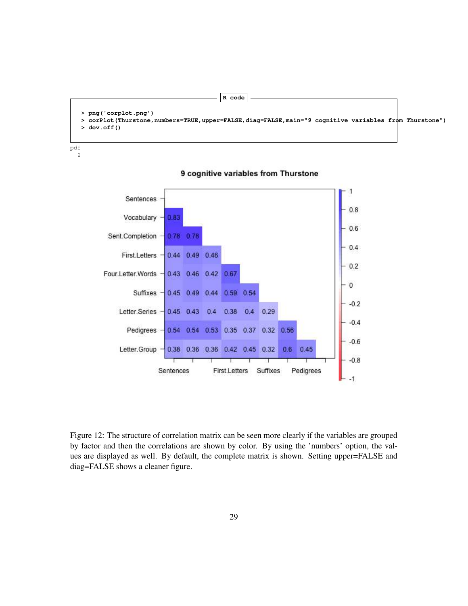```
R code
> png('corplot.png')
> corPlot(Thurstone,numbers=TRUE,upper=FALSE,diag=FALSE,main="9 cognitive variables from Thurstone")
 > dev.off()
```
pdf 2

```
1
      Sentences
                                                                          0.8Vocabulary
                   0.83
                                                                          0.6Sent.Completion
                   0.78 0.78
                                                                         0.4First.Letters
                   0.44 0.49 0.46
                                                                          0.2Four.Letter.Words
                   0.43 0.46 0.42 0.67
                                                                          \bf{0}Suffixes
                   0.45 0.49
                             0.44 0.59
                                         0.54
                                                                         -0.2Letter.Series
                                          0.40.290.45 0.43
                               0.40.38
                                                                          -0.4Pedigrees
                                    0.35 0.37 0.32 0.56
                   0.54
                        0.54
                              0.53
                                                                          -0.6Letter.Group
                   0.38 0.36
                              0.36 0.42 0.45 0.32
                                                      0.60.45-0.8Sentences
                                 First.Letters
                                              Suffixes
                                                         Pedigrees
                                                                          -1
```
9 cognitive variables from Thurstone

Figure 12: The structure of correlation matrix can be seen more clearly if the variables are grouped by factor and then the correlations are shown by color. By using the 'numbers' option, the values are displayed as well. By default, the complete matrix is shown. Setting upper=FALSE and diag=FALSE shows a cleaner figure.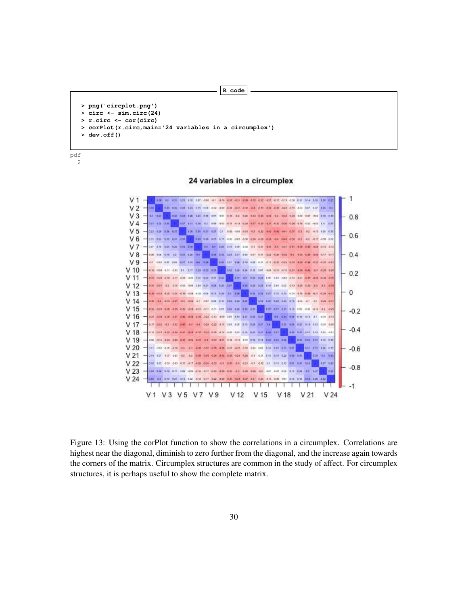```
R code
> png('circplot.png')
 > circ <- sim.circ(24)
> r.circ <- cor(circ)
> corPlot(r.circ,main='24 variables in a circumplex')
> dev.off()
```
pdf 2

#### 24 variables in a circumplex



Figure 13: Using the corPlot function to show the correlations in a circumplex. Correlations are highest near the diagonal, diminish to zero further from the diagonal, and the increase again towards the corners of the matrix. Circumplex structures are common in the study of affect. For circumplex structures, it is perhaps useful to show the complete matrix.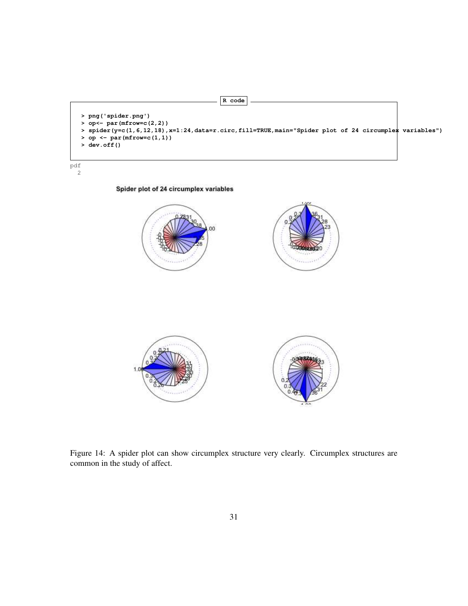

pdf 2

Spider plot of 24 circumplex variables



Figure 14: A spider plot can show circumplex structure very clearly. Circumplex structures are common in the study of affect.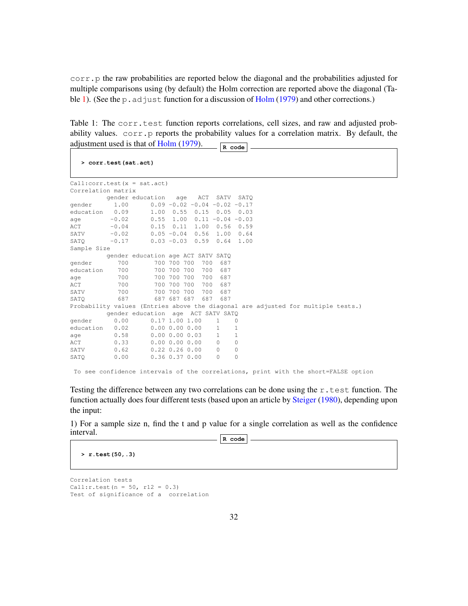corr.p the raw probabilities are reported below the diagonal and the probabilities adjusted for multiple comparisons using (by default) the Holm correction are reported above the diagonal (Table 1). (See the p. adjust function for a discussion of  $Holm (1979)$  and other corrections.)

Table 1: The corr.test function reports correlations, cell sizes, and raw and adjusted probability values.  $corr \cdot p$  reports the probability values for a correlation matrix. By default, the adjustment used is that of  $\frac{\text{Holm (1979)}}{\text{R code}}$ 

|                    |         | $Call:corr.test(x = sat.act)$                                                    |             |     |              |                                           |  |  |  |
|--------------------|---------|----------------------------------------------------------------------------------|-------------|-----|--------------|-------------------------------------------|--|--|--|
| Correlation matrix |         |                                                                                  |             |     |              |                                           |  |  |  |
|                    |         | gender education                                                                 | age         | ACT | SATV         | SATO                                      |  |  |  |
| gender             | 1.00    |                                                                                  |             |     |              | $0.09 - 0.02 - 0.04 - 0.02 - 0.17$        |  |  |  |
| education          | 0.09    | $1.00 \t 0.55 \t 0.15$                                                           |             |     | 0.05         | 0.03                                      |  |  |  |
| age                | $-0.02$ | 0.55                                                                             |             |     |              | $1.00 \quad 0.11 \quad -0.04 \quad -0.03$ |  |  |  |
| ACT                | $-0.04$ | 0.15                                                                             | $0.11$ 1.00 |     | 0.56         | 0.59                                      |  |  |  |
| SATV               | $-0.02$ | $0.05 - 0.04$ 0.56                                                               |             |     | 1.00         | 0.64                                      |  |  |  |
| SATO               | $-0.17$ |                                                                                  |             |     |              | $0.03 - 0.03$ $0.59$ $0.64$ 1.00          |  |  |  |
| Sample Size        |         |                                                                                  |             |     |              |                                           |  |  |  |
|                    |         | gender education age ACT SATV SATQ                                               |             |     |              |                                           |  |  |  |
| gender             | 700     |                                                                                  | 700 700 700 | 700 | 687          |                                           |  |  |  |
| education          | 700     |                                                                                  | 700 700 700 | 700 | 687          |                                           |  |  |  |
| age                | 700     |                                                                                  | 700 700 700 | 700 | 687          |                                           |  |  |  |
| ACT                | 700     |                                                                                  | 700 700 700 | 700 | 687          |                                           |  |  |  |
| SATV               | 700     |                                                                                  | 700 700 700 | 700 | 687          |                                           |  |  |  |
| SATO               | 687     |                                                                                  | 687 687 687 | 687 | 687          |                                           |  |  |  |
|                    |         | Probability values (Entries above the diagonal are adjusted for multiple tests.) |             |     |              |                                           |  |  |  |
|                    |         | gender education age ACT SATV SATO                                               |             |     |              |                                           |  |  |  |
| gender             | 0.00    | $0.17$ 1.00 1.00                                                                 |             |     | $\mathbf{1}$ | $\circ$                                   |  |  |  |
| education          | 0.02    | 0.0000.0000.00                                                                   |             |     | $\mathbf{1}$ | 1.                                        |  |  |  |
| age                | 0.58    | $0.00$ $0.00$ $0.03$                                                             |             |     | $\mathbf{1}$ | 1                                         |  |  |  |
| ACT                | 0.33    | 0.0000.0000.00                                                                   |             |     | $\Omega$     | $\Omega$                                  |  |  |  |
| SATV               | 0.62    | $0.22$ $0.26$ $0.00$                                                             |             |     | $\Omega$     | $\mathbf{0}$                              |  |  |  |
| SATO               | 0.00    | $0.36$ $0.37$ $0.00$                                                             |             |     | $\Omega$     | $\Omega$                                  |  |  |  |

Testing the difference between any two correlations can be done using the r.test function. The function actually does four different tests (based upon an article by Steiger (1980), depending upon the input:

1) For a sample size n, find the t and p value for a single correlation as well as the confidence interval. **R code**

**> r.test(50,.3)**

Correlation tests  $Call:$ r.test(n = 50, r12 = 0.3) Test of significance of a correlation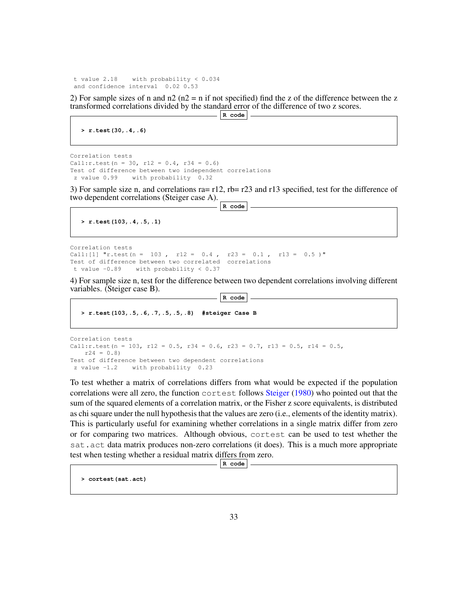t value 2.18 with probability < 0.034 and confidence interval 0.02 0.53

2) For sample sizes of n and  $n/2$  ( $n/2$  = n if not specified) find the z of the difference between the z transformed correlations divided by the standard error of the difference of two z scores.

**R code**

**> r.test(30,.4,.6)**

```
Correlation tests
Call:r.test(n = 30, r12 = 0.4, r34 = 0.6)
Test of difference between two independent correlations
z value 0.99 with probability 0.32
```
3) For sample size n, and correlations ra= r12, rb= r23 and r13 specified, test for the difference of two dependent correlations (Steiger case A). **R code**

```
> r.test(103,.4,.5,.1)
```

```
Correlation tests
Call: [1] \text{``r.test(n = 103, r12 = 0.4, r23 = 0.1, r13 = 0.5)}"
Test of difference between two correlated correlations
t value -0.89 with probability < 0.37
```
4) For sample size n, test for the difference between two dependent correlations involving different variables. (Steiger case B). **R code**

```
> r.test(103,.5,.6,.7,.5,.5,.8) #steiger Case B
```

```
Correlation tests
Call:r.test(n = 103, r12 = 0.5, r34 = 0.6, r23 = 0.7, r13 = 0.5, r14 = 0.5,
   r24 = 0.8Test of difference between two dependent correlations
z value -1.2 with probability 0.23
```
To test whether a matrix of correlations differs from what would be expected if the population correlations were all zero, the function cortest follows Steiger (1980) who pointed out that the sum of the squared elements of a correlation matrix, or the Fisher z score equivalents, is distributed as chi square under the null hypothesis that the values are zero (i.e., elements of the identity matrix). This is particularly useful for examining whether correlations in a single matrix differ from zero or for comparing two matrices. Although obvious, cortest can be used to test whether the sat.act data matrix produces non-zero correlations (it does). This is a much more appropriate test when testing whether a residual matrix differs from zero.

**R code**

**> cortest(sat.act)**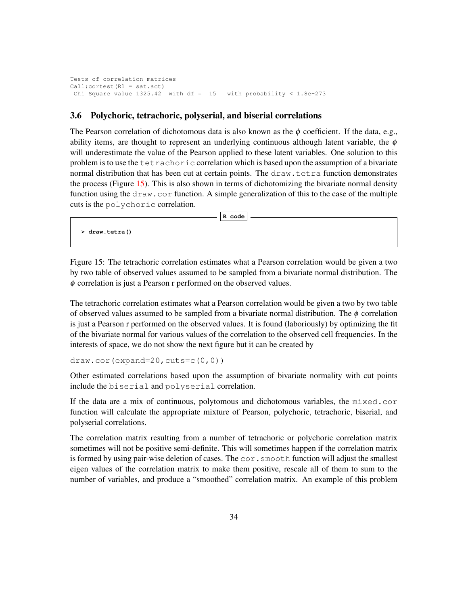Tests of correlation matrices Call:cortest(R1 = sat.act) Chi Square value  $1325.42$  with df = 15 with probability <  $1.8e-273$ 

### 3.6 Polychoric, tetrachoric, polyserial, and biserial correlations

The Pearson correlation of dichotomous data is also known as the  $\phi$  coefficient. If the data, e.g., ability items, are thought to represent an underlying continuous although latent variable, the  $\phi$ will underestimate the value of the Pearson applied to these latent variables. One solution to this problem is to use the tetrachoric correlation which is based upon the assumption of a bivariate normal distribution that has been cut at certain points. The draw.tetra function demonstrates the process (Figure 15). This is also shown in terms of dichotomizing the bivariate normal density function using the draw.cor function. A simple generalization of this to the case of the multiple cuts is the polychoric correlation.

**R code**

**> draw.tetra()**

Figure 15: The tetrachoric correlation estimates what a Pearson correlation would be given a two by two table of observed values assumed to be sampled from a bivariate normal distribution. The  $\phi$  correlation is just a Pearson r performed on the observed values.

The tetrachoric correlation estimates what a Pearson correlation would be given a two by two table of observed values assumed to be sampled from a bivariate normal distribution. The  $\phi$  correlation is just a Pearson r performed on the observed values. It is found (laboriously) by optimizing the fit of the bivariate normal for various values of the correlation to the observed cell frequencies. In the interests of space, we do not show the next figure but it can be created by

```
draw.cor(expand=20, cuts = c(0,0))
```
Other estimated correlations based upon the assumption of bivariate normality with cut points include the biserial and polyserial correlation.

If the data are a mix of continuous, polytomous and dichotomous variables, the mixed.cor function will calculate the appropriate mixture of Pearson, polychoric, tetrachoric, biserial, and polyserial correlations.

The correlation matrix resulting from a number of tetrachoric or polychoric correlation matrix sometimes will not be positive semi-definite. This will sometimes happen if the correlation matrix is formed by using pair-wise deletion of cases. The  $cor$ , smooth function will adjust the smallest eigen values of the correlation matrix to make them positive, rescale all of them to sum to the number of variables, and produce a "smoothed" correlation matrix. An example of this problem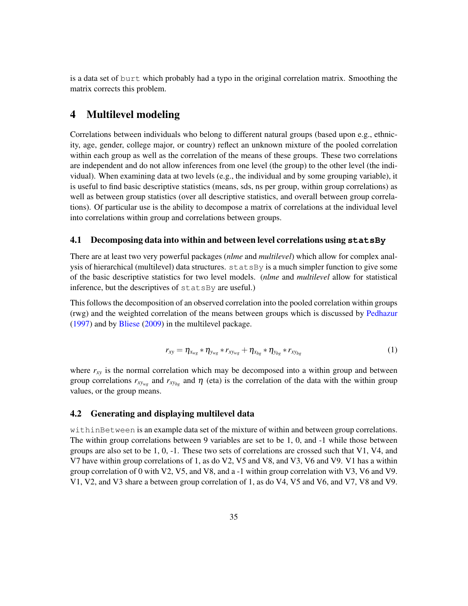is a data set of burt which probably had a typo in the original correlation matrix. Smoothing the matrix corrects this problem.

# 4 Multilevel modeling

Correlations between individuals who belong to different natural groups (based upon e.g., ethnicity, age, gender, college major, or country) reflect an unknown mixture of the pooled correlation within each group as well as the correlation of the means of these groups. These two correlations are independent and do not allow inferences from one level (the group) to the other level (the individual). When examining data at two levels (e.g., the individual and by some grouping variable), it is useful to find basic descriptive statistics (means, sds, ns per group, within group correlations) as well as between group statistics (over all descriptive statistics, and overall between group correlations). Of particular use is the ability to decompose a matrix of correlations at the individual level into correlations within group and correlations between groups.

#### 4.1 Decomposing data into within and between level correlations using **statsBy**

There are at least two very powerful packages (*nlme* and *multilevel*) which allow for complex analysis of hierarchical (multilevel) data structures. statsBy is a much simpler function to give some of the basic descriptive statistics for two level models. (*nlme* and *multilevel* allow for statistical inference, but the descriptives of statsBy are useful.)

This follows the decomposition of an observed correlation into the pooled correlation within groups (rwg) and the weighted correlation of the means between groups which is discussed by Pedhazur (1997) and by Bliese (2009) in the multilevel package.

$$
r_{xy} = \eta_{x_{wg}} * \eta_{y_{wg}} * r_{x_{y_{wg}}} + \eta_{x_{bg}} * \eta_{y_{bg}} * r_{x_{y_{bg}}} \tag{1}
$$

where  $r_{xy}$  is the normal correlation which may be decomposed into a within group and between group correlations  $r_{xy_{wg}}$  and  $r_{xy_{bg}}$  and  $\eta$  (eta) is the correlation of the data with the within group values, or the group means.

### 4.2 Generating and displaying multilevel data

withinBetween is an example data set of the mixture of within and between group correlations. The within group correlations between 9 variables are set to be 1, 0, and -1 while those between groups are also set to be 1, 0, -1. These two sets of correlations are crossed such that V1, V4, and V7 have within group correlations of 1, as do V2, V5 and V8, and V3, V6 and V9. V1 has a within group correlation of 0 with V2, V5, and V8, and a -1 within group correlation with V3, V6 and V9. V1, V2, and V3 share a between group correlation of 1, as do V4, V5 and V6, and V7, V8 and V9.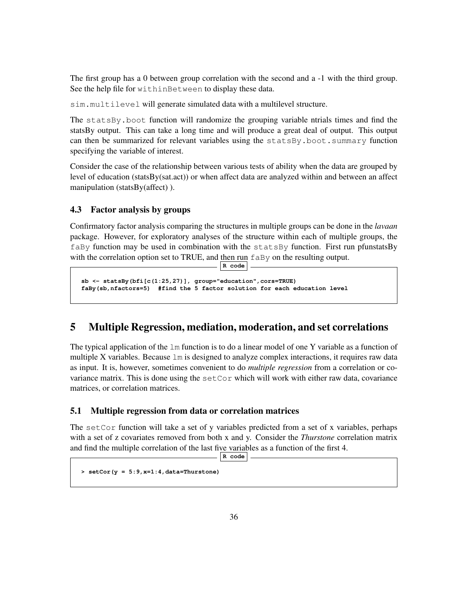The first group has a 0 between group correlation with the second and a -1 with the third group. See the help file for withinBetween to display these data.

sim.multilevel will generate simulated data with a multilevel structure.

The statsBy.boot function will randomize the grouping variable ntrials times and find the statsBy output. This can take a long time and will produce a great deal of output. This output can then be summarized for relevant variables using the statsBy.boot.summary function specifying the variable of interest.

Consider the case of the relationship between various tests of ability when the data are grouped by level of education (statsBy(sat.act)) or when affect data are analyzed within and between an affect manipulation (statsBy(affect) ).

### 4.3 Factor analysis by groups

Confirmatory factor analysis comparing the structures in multiple groups can be done in the *lavaan* package. However, for exploratory analyses of the structure within each of multiple groups, the faBy function may be used in combination with the statsBy function. First run pfunstatsBy with the correlation option set to TRUE, and then run  $f$ aBy on the resulting output. **R code**

```
sb <- statsBy(bfi[c(1:25,27)], group="education",cors=TRUE)
faBy(sb,nfactors=5) #find the 5 factor solution for each education level
```
# 5 Multiple Regression, mediation, moderation, and set correlations

The typical application of the  $\text{Im}$  function is to do a linear model of one Y variable as a function of multiple X variables. Because  $\text{Im}$  is designed to analyze complex interactions, it requires raw data as input. It is, however, sometimes convenient to do *multiple regression* from a correlation or covariance matrix. This is done using the  $setCor$  which will work with either raw data, covariance matrices, or correlation matrices.

### 5.1 Multiple regression from data or correlation matrices

The set Cor function will take a set of y variables predicted from a set of x variables, perhaps with a set of z covariates removed from both x and y. Consider the *Thurstone* correlation matrix and find the multiple correlation of the last five variables as a function of the first 4.

```
R code
```

```
> setCor(y = 5:9,x=1:4,data=Thurstone)
```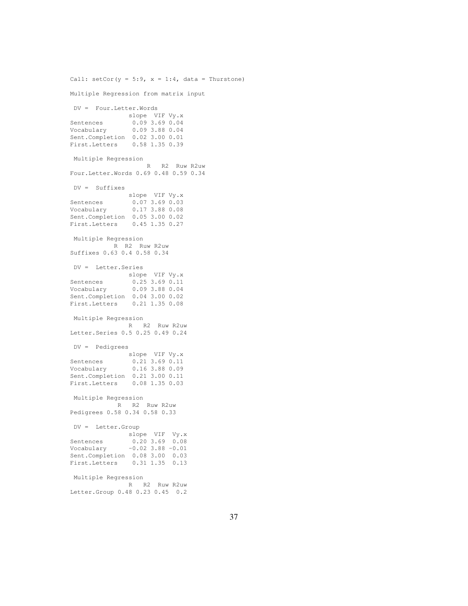Call:  $setCor(y = 5:9, x = 1:4, data = Thurstone)$ Multiple Regression from matrix input DV = Four.Letter.Words slope VIF Vy.x Sentences 0.09 3.69 0.04<br>Vocabulary 0.09 3.88 0.04 Vocabulary 0.09 3.88 0.04 Sent.Completion 0.02 3.00 0.01 First.Letters 0.58 1.35 0.39 Multiple Regression R R2 Ruw R2uw Four.Letter.Words 0.69 0.48 0.59 0.34 DV = Suffixes slope VIF Vy.x Sentences 0.07 3.69 0.03 Vocabulary 0.17 3.88 0.08 Sent.Completion 0.05 3.00 0.02 First.Letters 0.45 1.35 0.27 Multiple Regression R R2 Ruw R2uw Suffixes 0.63 0.4 0.58 0.34 DV = Letter.Series slope VIF Vy.x Sentences 0.25 3.69 0.11 Vocabulary 0.09 3.88 0.04 Sent.Completion 0.04 3.00 0.02 First.Letters 0.21 1.35 0.08 Multiple Regression R R2 Ruw R2uw Letter.Series 0.5 0.25 0.49 0.24 DV = Pedigrees slope VIF Vy.x Sentences 0.21 3.69 0.11 Vocabulary 0.16 3.88 0.09 Sent.Completion 0.21 3.00 0.11 First.Letters 0.08 1.35 0.03 Multiple Regression R R2 Ruw R2uw Pedigrees 0.58 0.34 0.58 0.33 DV = Letter.Group slope VIF Vy.x Sentences 0.20 3.69 0.08 Vocabulary -0.02 3.88 -0.01 Sent.Completion 0.08 3.00 0.03 First.Letters 0.31 1.35 0.13 Multiple Regression R R2 Ruw R2uw Letter.Group 0.48 0.23 0.45 0.2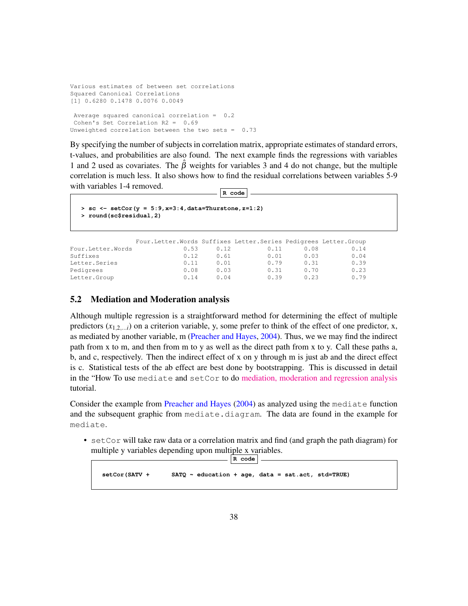```
Various estimates of between set correlations
Squared Canonical Correlations
[1] 0.6280 0.1478 0.0076 0.0049
Average squared canonical correlation = 0.2
Cohen's Set Correlation R2 = 0.69
Unweighted correlation between the two sets = 0.73
```
By specifying the number of subjects in correlation matrix, appropriate estimates of standard errors, t-values, and probabilities are also found. The next example finds the regressions with variables 1 and 2 used as covariates. The  $\hat{\beta}$  weights for variables 3 and 4 do not change, but the multiple correlation is much less. It also shows how to find the residual correlations between variables 5-9 with variables 1-4 removed.

**R code**

```
> sc <- setCor(y = 5:9,x=3:4,data=Thurstone,z=1:2)
> round(sc$residual,2)
```

|                   | Four.Letter.Words Suffixes Letter.Series Pedigrees Letter.Group |      |      |      |      |
|-------------------|-----------------------------------------------------------------|------|------|------|------|
| Four.Letter.Words | 0.53                                                            | 0.12 | 0.11 | 0.08 | 0.14 |
| Suffixes          | 0.12                                                            | 0.61 | 0.01 | 0.03 | 0.04 |
| Letter. Series    | 0.11                                                            | 0.01 | 0.79 | 0.31 | 0.39 |
| Pedigrees         | 0.08                                                            | 0.03 | 0.31 | 0.70 | 0.23 |
| Letter.Group      | 0.14                                                            | 0.04 | 0.39 | 0.23 | 0.79 |

### 5.2 Mediation and Moderation analysis

Although multiple regression is a straightforward method for determining the effect of multiple predictors  $(x_{1,2,\ldots,i})$  on a criterion variable, y, some prefer to think of the effect of one predictor, x, as mediated by another variable, m (Preacher and Hayes, 2004). Thus, we we may find the indirect path from x to m, and then from m to y as well as the direct path from x to y. Call these paths a, b, and c, respectively. Then the indirect effect of x on y through m is just ab and the direct effect is c. Statistical tests of the ab effect are best done by bootstrapping. This is discussed in detail in the "How To use mediate and setCor to do [mediation, moderation and regression analysis](https://personality-project.org/r/psych/HowTo/mediation.pdf) tutorial.

Consider the example from Preacher and Hayes (2004) as analyzed using the mediate function and the subsequent graphic from mediate.diagram. The data are found in the example for mediate.

• set Cor will take raw data or a correlation matrix and find (and graph the path diagram) for multiple y variables depending upon multiple x variables.

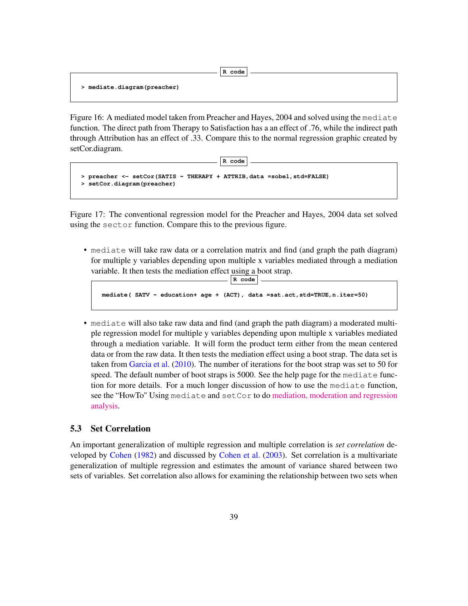**R code**

**> mediate.diagram(preacher)**

Figure 16: A mediated model taken from Preacher and Hayes, 2004 and solved using the mediate function. The direct path from Therapy to Satisfaction has a an effect of .76, while the indirect path through Attribution has an effect of .33. Compare this to the normal regression graphic created by setCor.diagram.

**R code**

```
> preacher <- setCor(SATIS ~ THERAPY + ATTRIB,data =sobel,std=FALSE)
> setCor.diagram(preacher)
```
Figure 17: The conventional regression model for the Preacher and Hayes, 2004 data set solved using the sector function. Compare this to the previous figure.

• mediate will take raw data or a correlation matrix and find (and graph the path diagram) for multiple y variables depending upon multiple x variables mediated through a mediation variable. It then tests the mediation effect using a boot strap. **R code**

```
mediate( SATV ~ education+ age + (ACT), data =sat.act,std=TRUE,n.iter=50)
```
• mediate will also take raw data and find (and graph the path diagram) a moderated multiple regression model for multiple y variables depending upon multiple x variables mediated through a mediation variable. It will form the product term either from the mean centered data or from the raw data. It then tests the mediation effect using a boot strap. The data set is taken from Garcia et al. (2010). The number of iterations for the boot strap was set to 50 for speed. The default number of boot straps is 5000. See the help page for the mediate function for more details. For a much longer discussion of how to use the mediate function, see the "HowTo" Using mediate and setCor to do [mediation, moderation and regression](https://personality-project.org/r/psych/HowTo/mediation.pdf) [analysis.](https://personality-project.org/r/psych/HowTo/mediation.pdf)

### 5.3 Set Correlation

An important generalization of multiple regression and multiple correlation is *set correlation* developed by Cohen (1982) and discussed by Cohen et al. (2003). Set correlation is a multivariate generalization of multiple regression and estimates the amount of variance shared between two sets of variables. Set correlation also allows for examining the relationship between two sets when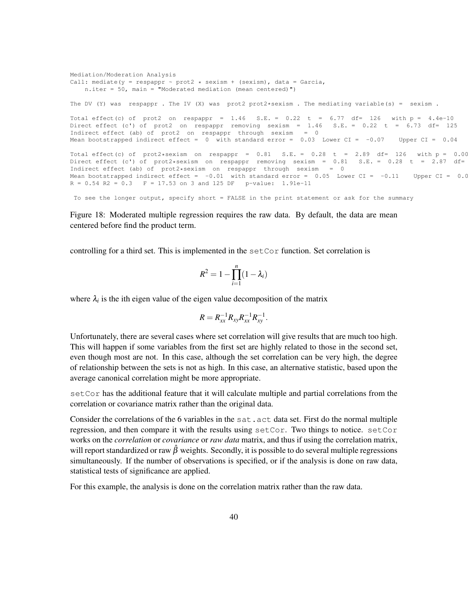Mediation/Moderation Analysis Call: mediate( $y =$  respappr  $\sim$  prot2  $*$  sexism + (sexism), data = Garcia, n.iter = 50, main = "Moderated mediation (mean centered)") The DV (Y) was respappr . The IV (X) was prot2 prot2\*sexism . The mediating variable(s) = sexism . Total effect(c) of prot2 on respappr =  $1.46$  S.E. =  $0.22$  t =  $6.77$  df= 126 with p =  $4.4e-10$ Direct effect (c') of prot2 on respappr removing sexism = 1.46 S.E. = 0.22 t = 6.73 df= 125 Indirect effect (ab) of prot2 on respappr through sexism = 0 Mean bootstrapped indirect effect = 0 with standard error =  $0.03$  Lower CI =  $-0.07$  Upper CI =  $0.04$ Total effect(c) of prot2\*sexism on respappr =  $0.81$  S.E. =  $0.28$  t =  $2.89$  df= 126 with p =  $0.0045$ Direct effect (c') of prot2\*sexism on respappr removing sexism =  $0.81$  S.E. =  $0.28$  t =  $2.87$  df= Indirect effect (ab) of prot2\*sexism on respappr through sexism = 0 Mean bootstrapped indirect effect =  $-0.01$  with standard error = 0.05 Lower CI =  $-0.11$  Upper CI = 0.0  $R = 0.54$  R2 = 0.3  $F = 17.53$  on 3 and 125 DF p-value: 1.91e-11

To see the longer output, specify short = FALSE in the print statement or ask for the summary

Figure 18: Moderated multiple regression requires the raw data. By default, the data are mean centered before find the product term.

controlling for a third set. This is implemented in the setCor function. Set correlation is

$$
R^2 = 1 - \prod_{i=1}^n (1 - \lambda_i)
$$

where  $\lambda_i$  is the ith eigen value of the eigen value decomposition of the matrix

$$
R=R_{xx}^{-1}R_{xy}R_{xx}^{-1}R_{xy}^{-1}.
$$

Unfortunately, there are several cases where set correlation will give results that are much too high. This will happen if some variables from the first set are highly related to those in the second set, even though most are not. In this case, although the set correlation can be very high, the degree of relationship between the sets is not as high. In this case, an alternative statistic, based upon the average canonical correlation might be more appropriate.

setCor has the additional feature that it will calculate multiple and partial correlations from the correlation or covariance matrix rather than the original data.

Consider the correlations of the 6 variables in the sat.act data set. First do the normal multiple regression, and then compare it with the results using  $setCor$ . Two things to notice.  $setCor$ works on the *correlation* or *covariance* or *raw data* matrix, and thus if using the correlation matrix, will report standardized or raw  $\hat{\beta}$  weights. Secondly, it is possible to do several multiple regressions simultaneously. If the number of observations is specified, or if the analysis is done on raw data, statistical tests of significance are applied.

For this example, the analysis is done on the correlation matrix rather than the raw data.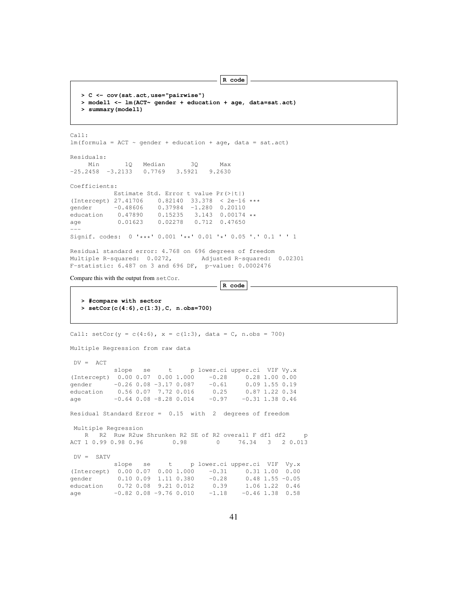**R code > C <- cov(sat.act,use="pairwise") > model1 <- lm(ACT~ gender + education + age, data=sat.act) > summary(model1)** Call:  $lm(formula = ACT ~ quender + education + age, data = sat.act)$ Residuals: Min 1Q Median 3Q Max -25.2458 -3.2133 0.7769 3.5921 9.2630 Coefficients: Estimate Std. Error t value Pr(>|t|) (Intercept) 27.41706 0.82140 33.378 < 2e-16 \*\*\*<br>gender -0.48606 0.37984 -1.280 0.20110 gender -0.48606 0.37984 -1.280 0.20110<br>education 0.47890 0.15235 3.143 0.00174 education 0.47890 0.15235 3.143 0.00174 \*\* age 0.01623 0.02278 0.712 0.47650  $---$ Signif. codes: 0 '\*\*\*' 0.001 '\*\*' 0.01 '\*' 0.05 '.' 0.1 ' ' 1 Residual standard error: 4.768 on 696 degrees of freedom Multiple R-squared: 0.0272, Adjusted R-squared: 0.02301 F-statistic: 6.487 on 3 and 696 DF, p-value: 0.0002476 Compare this with the output from setCor. **R code > #compare with sector > setCor(c(4:6),c(1:3),C, n.obs=700)** Call:  $setCor(y = c(4:6)$ ,  $x = c(1:3)$ , data = C, n.obs = 700) Multiple Regression from raw data  $DV = ACT$ slope se t p lower.ci upper.ci VIF Vy.x (Intercept)  $0.00\ 0.07\ 0.00\ 1.000\ -0.28\ 0.28\ 1.00\ 0.00$ <br>qender  $-0.26\ 0.08\ -3.17\ 0.087\ -0.61\ 0.09\ 1.55\ 0.19$ gender -0.26 0.08 -3.17 0.087 -0.61 0.09 1.55 0.19 education 0.56 0.07 7.72 0.016 0.25 0.87 1.22 0.34 age  $-0.64 \t0.08 \t -8.28 \t0.014 \t -0.97 \t -0.31 \t1.38 \t0.46$ Residual Standard Error = 0.15 with 2 degrees of freedom Multiple Regression R R2 Ruw R2uw Shrunken R2 SE of R2 overall F df1 df2 p<br>T 1 0.99 0.98 0.96 0.98 0 76.34 3 2 0.013 ACT 1 0.99 0.98 0.96 DV = SATV<br>slope se t p lower.ci upper.ci VIF Vy.x (Intercept)  $0.00\ 0.07\ 0.00\ 1.000\ -0.31\ 0.31\ 1.00\ 0.00$  gender  $0.10\ 0.09\ 1.11\ 0.380\ -0.28\ 0.48\ 1.55\ -0.05$ gender 0.10 0.09 1.11 0.380 -0.28<br>education 0.72 0.08 9.21 0.012 0.39 education 0.72 0.08 9.21 0.012 0.39 1.06 1.22 0.46<br>age  $-0.82$  0.08  $-9.76$  0.010  $-1.18$   $-0.46$  1.38 0.58 age  $-0.82$  0.08 -9.76 0.010  $-1.18$  -0.46 1.38 0.58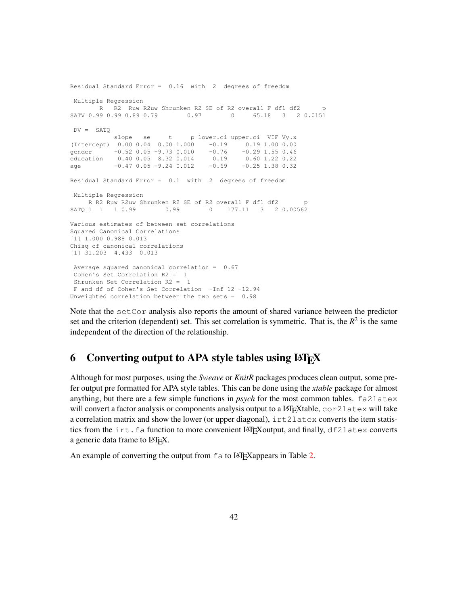```
Residual Standard Error = 0.16 with 2 degrees of freedom
Multiple Regression
      R R2 Ruw R2uw Shrunken R2 SE of R2 overall F df1 df2
SATV 0.99 0.99 0.89 0.79 0.97 0 65.18 3 2 0.0151
DV = SATOslope se t p lower.ci upper.ci VIF Vy.x
(Intercept) 0.00 0.04 0.00 1.000 -0.19 0.19 1.00 0.00
gender -0.52 0.05 -9.73 0.010 -0.76 -0.29 1.55 0.46
education 0.40 0.05 8.32 0.014 0.19 0.60 1.22 0.22
age -0.47 0.05 -9.24 0.012 -0.69 -0.25 1.38 0.32
Residual Standard Error = 0.1 with 2 degrees of freedom
Multiple Regression
R R2 Ruw R2uw Shrunken R2 SE of R2 overall F df1 df2 p<br>SATO 1 1 1 0.99 0.99 0 177.11 3 2 0.00562
                  0.99 0 177.11 3 2 0.00562
Various estimates of between set correlations
Squared Canonical Correlations
[1] 1.000 0.988 0.013
Chisq of canonical correlations
[1] 31.203 4.433 0.013
Average squared canonical correlation = 0.67
Cohen's Set Correlation R2 = 1
Shrunken Set Correlation R2 = 1
F and df of Cohen's Set Correlation -Inf 12 -12.94
Unweighted correlation between the two sets = 0.98
```
Note that the set Cor analysis also reports the amount of shared variance between the predictor set and the criterion (dependent) set. This set correlation is symmetric. That is, the  $R^2$  is the same independent of the direction of the relationship.

# 6 Converting output to APA style tables using  $\mu$ T<sub>E</sub>X

Although for most purposes, using the *Sweave* or *KnitR* packages produces clean output, some prefer output pre formatted for APA style tables. This can be done using the *xtable* package for almost anything, but there are a few simple functions in *psych* for the most common tables. fa2latex will convert a factor analysis or components analysis output to a LAT<sub>EX</sub>Xtable, cor2latex will take a correlation matrix and show the lower (or upper diagonal), irt2latex converts the item statistics from the irt.fa function to more convenient LATEX output, and finally, df2latex converts a generic data frame to LATEX.

An example of converting the output from  $f$  a to LAT<sub>E</sub>Xappears in Table 2.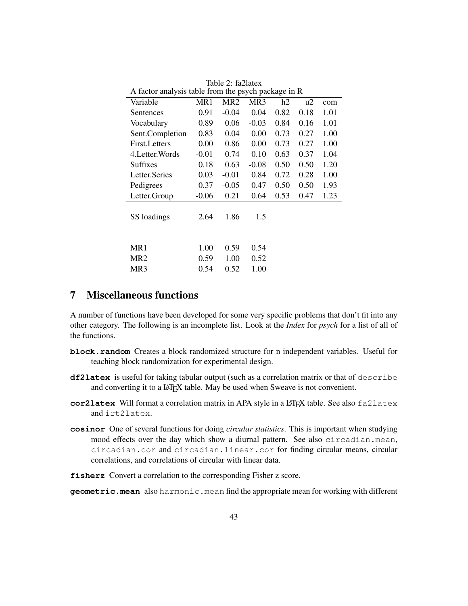| A factor analysis table from the psych package in R |         |                 |          |      |      |      |  |  |  |
|-----------------------------------------------------|---------|-----------------|----------|------|------|------|--|--|--|
| Variable                                            | MR1     | MR <sub>2</sub> | MR3      | h2   | u2   | com  |  |  |  |
| Sentences                                           | 0.91    | $-0.04$         | 0.04     | 0.82 | 0.18 | 1.01 |  |  |  |
| Vocabulary                                          | 0.89    | 0.06            | $-0.03$  | 0.84 | 0.16 | 1.01 |  |  |  |
| Sent.Completion                                     | 0.83    | 0.04            | 0.00     | 0.73 | 0.27 | 1.00 |  |  |  |
| First. Letters                                      | 0.00    | 0.86            | $0.00\,$ | 0.73 | 0.27 | 1.00 |  |  |  |
| 4. Letter. Words                                    | $-0.01$ | 0.74            | 0.10     | 0.63 | 0.37 | 1.04 |  |  |  |
| <b>Suffixes</b>                                     | 0.18    | 0.63            | $-0.08$  | 0.50 | 0.50 | 1.20 |  |  |  |
| Letter.Series                                       | 0.03    | $-0.01$         | 0.84     | 0.72 | 0.28 | 1.00 |  |  |  |
| Pedigrees                                           | 0.37    | $-0.05$         | 0.47     | 0.50 | 0.50 | 1.93 |  |  |  |
| Letter.Group                                        | $-0.06$ | 0.21            | 0.64     | 0.53 | 0.47 | 1.23 |  |  |  |
| SS loadings                                         | 2.64    | 1.86            | 1.5      |      |      |      |  |  |  |
|                                                     |         |                 |          |      |      |      |  |  |  |
| MR1                                                 | 1.00    | 0.59            | 0.54     |      |      |      |  |  |  |
| MR <sub>2</sub>                                     | 0.59    | 1.00            | 0.52     |      |      |      |  |  |  |
| MR <sub>3</sub>                                     | 0.54    | 0.52            | 1.00     |      |      |      |  |  |  |

Table 2: fa2latex A factor analysis table from the psych package in R

# 7 Miscellaneous functions

A number of functions have been developed for some very specific problems that don't fit into any other category. The following is an incomplete list. Look at the *Index* for *psych* for a list of all of the functions.

- **block.random** Creates a block randomized structure for n independent variables. Useful for teaching block randomization for experimental design.
- **df2latex** is useful for taking tabular output (such as a correlation matrix or that of describe and converting it to a LATEX table. May be used when Sweave is not convenient.
- **cor2latex** Will format a correlation matrix in APA style in a LAT<sub>E</sub>X table. See also fa2latex and irt2latex.
- **cosinor** One of several functions for doing *circular statistics*. This is important when studying mood effects over the day which show a diurnal pattern. See also circadian.mean, circadian.cor and circadian.linear.cor for finding circular means, circular correlations, and correlations of circular with linear data.
- **fisherz** Convert a correlation to the corresponding Fisher z score.

**geometric.mean** also harmonic.mean find the appropriate mean for working with different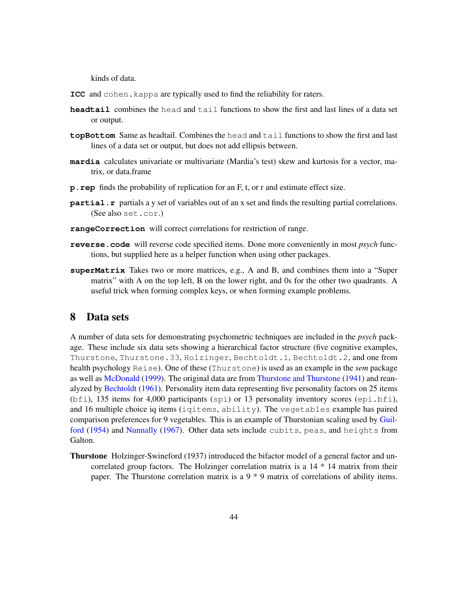kinds of data.

- **ICC** and cohen. kappa are typically used to find the reliability for raters.
- **headtail** combines the head and tail functions to show the first and last lines of a data set or output.
- **topBottom** Same as headtail. Combines the head and tail functions to show the first and last lines of a data set or output, but does not add ellipsis between.
- **mardia** calculates univariate or multivariate (Mardia's test) skew and kurtosis for a vector, matrix, or data.frame
- **p.rep** finds the probability of replication for an F, t, or r and estimate effect size.
- **partial.r** partials a y set of variables out of an x set and finds the resulting partial correlations. (See also set.cor.)
- **rangeCorrection** will correct correlations for restriction of range.
- **reverse.code** will reverse code specified items. Done more conveniently in most *psych* functions, but supplied here as a helper function when using other packages.
- **superMatrix** Takes two or more matrices, e.g., A and B, and combines them into a "Super matrix" with A on the top left, B on the lower right, and 0s for the other two quadrants. A useful trick when forming complex keys, or when forming example problems.

# 8 Data sets

A number of data sets for demonstrating psychometric techniques are included in the *psych* package. These include six data sets showing a hierarchical factor structure (five cognitive examples, Thurstone, Thurstone.33, Holzinger, Bechtoldt.1, Bechtoldt.2, and one from health psychology Reise). One of these (Thurstone) is used as an example in the *sem* package as well as McDonald (1999). The original data are from Thurstone and Thurstone (1941) and reanalyzed by Bechtoldt (1961). Personality item data representing five personality factors on 25 items  $(b \text{fi})$ , 135 items for 4,000 participants (spi) or 13 personality inventory scores (epi.bfi), and 16 multiple choice iq items (iqitems, ability). The vegetables example has paired comparison preferences for 9 vegetables. This is an example of Thurstonian scaling used by Guilford (1954) and Nunnally (1967). Other data sets include cubits, peas, and heights from Galton.

Thurstone Holzinger-Swineford (1937) introduced the bifactor model of a general factor and uncorrelated group factors. The Holzinger correlation matrix is a 14 \* 14 matrix from their paper. The Thurstone correlation matrix is a 9 \* 9 matrix of correlations of ability items.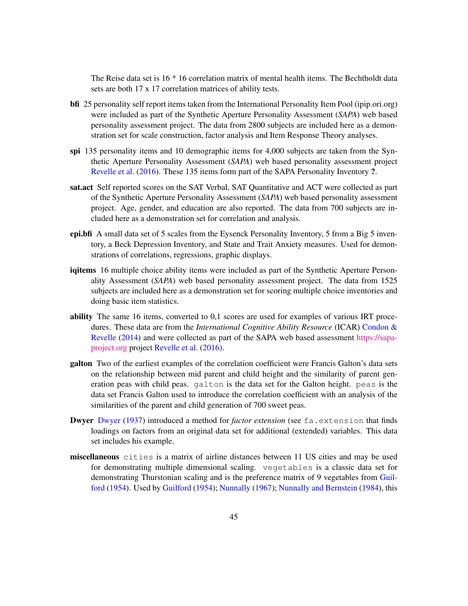The Reise data set is 16 \* 16 correlation matrix of mental health items. The Bechtholdt data sets are both 17 x 17 correlation matrices of ability tests.

- bfi 25 personality self report items taken from the International Personality Item Pool (ipip.ori.org) were included as part of the Synthetic Aperture Personality Assessment (*SAPA*) web based personality assessment project. The data from 2800 subjects are included here as a demonstration set for scale construction, factor analysis and Item Response Theory analyses.
- spi 135 personality items and 10 demographic items for 4,000 subjects are taken from the Synthetic Aperture Personality Assessment (*SAPA*) web based personality assessment project Revelle et al. (2016). These 135 items form part of the SAPA Personality Inventory ?.
- sat.act Self reported scores on the SAT Verbal, SAT Quantitative and ACT were collected as part of the Synthetic Aperture Personality Assessment (*SAPA*) web based personality assessment project. Age, gender, and education are also reported. The data from 700 subjects are included here as a demonstration set for correlation and analysis.
- epi.bfi A small data set of 5 scales from the Eysenck Personality Inventory, 5 from a Big 5 inventory, a Beck Depression Inventory, and State and Trait Anxiety measures. Used for demonstrations of correlations, regressions, graphic displays.
- iqitems 16 multiple choice ability items were included as part of the Synthetic Aperture Personality Assessment (*SAPA*) web based personality assessment project. The data from 1525 subjects are included here as a demonstration set for scoring multiple choice inventories and doing basic item statistics.
- ability The same 16 items, converted to 0,1 scores are used for examples of various IRT procedures. These data are from the *International Cognitive Ability Resource* (ICAR) Condon & Revelle (2014) and were collected as part of the SAPA web based assessment [https://sapa]( https://sapa-project.org)[project.org]( https://sapa-project.org) project Revelle et al. (2016).
- galton Two of the earliest examples of the correlation coefficient were Francis Galton's data sets on the relationship between mid parent and child height and the similarity of parent generation peas with child peas. galton is the data set for the Galton height. peas is the data set Francis Galton used to introduce the correlation coefficient with an analysis of the similarities of the parent and child generation of 700 sweet peas.
- Dwyer Dwyer (1937) introduced a method for *factor extension* (see fa.extension that finds loadings on factors from an original data set for additional (extended) variables. This data set includes his example.
- miscellaneous cities is a matrix of airline distances between 11 US cities and may be used for demonstrating multiple dimensional scaling. vegetables is a classic data set for demonstrating Thurstonian scaling and is the preference matrix of 9 vegetables from Guilford (1954). Used by Guilford (1954); Nunnally (1967); Nunnally and Bernstein (1984), this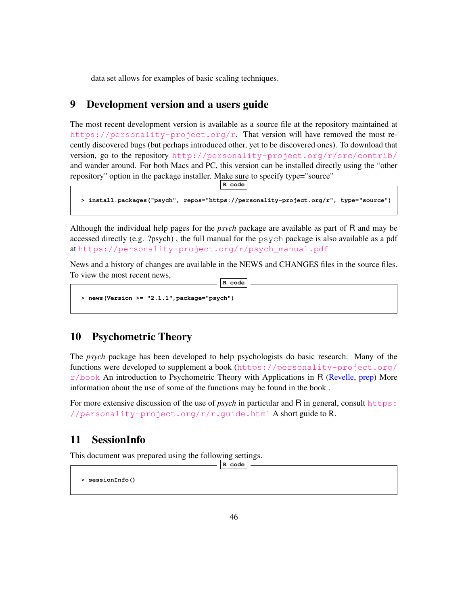data set allows for examples of basic scaling techniques.

# 9 Development version and a users guide

The most recent development version is available as a source file at the repository maintained at [https://personality-project.org/r]( href="https://personality-project.org/r"). That version will have removed the most recently discovered bugs (but perhaps introduced other, yet to be discovered ones). To download that version, go to the repository <http://personality-project.org/r/src/contrib/> and wander around. For both Macs and PC, this version can be installed directly using the "other repository" option in the package installer. Make sure to specify type="source"

**R code**

```
> install.packages("psych", repos="https://personality-project.org/r", type="source")
```
Although the individual help pages for the *psych* package are available as part of R and may be accessed directly (e.g. ?psych) , the full manual for the psych package is also available as a pdf at [https://personality-project.org/r/psych\\_manual.pdf](https://personality-project.org/r/psych_manual.pdf)

News and a history of changes are available in the NEWS and CHANGES files in the source files. To view the most recent news,

**R code**

```
> news(Version >= "2.1.1",package="psych")
```
# 10 Psychometric Theory

The *psych* package has been developed to help psychologists do basic research. Many of the functions were developed to supplement a book ([https://personality-project.org/](https://personality-project.org/r/book)  $r/b$ ook An introduction to Psychometric Theory with Applications in R (Revelle, prep) More information about the use of some of the functions may be found in the book .

For more extensive discussion of the use of *psych* in particular and R in general, consult [https:](https://personality-project.org/r/r.guide.html) [//personality-project.org/r/r.guide.html](https://personality-project.org/r/r.guide.html) A short guide to R.

# 11 SessionInfo

This document was prepared using the following settings.

**R code**

**> sessionInfo()**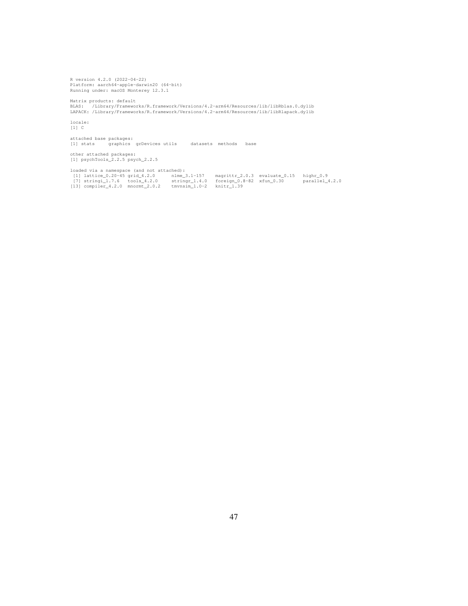R version 4.2.0 (2022-04-22) Platform: aarch64-apple-darwin20 (64-bit) Running under: macOS Monterey 12.3.1

Matrix products: default BLAS: /Library/Frameworks/R.framework/Versions/4.2-arm64/Resources/lib/libRblas.0.dylib LAPACK: /Library/Frameworks/R.framework/Versions/4.2-arm64/Resources/lib/libRlapack.dylib

locale: [1] C

attached base packages: [1] stats graphics grDevices utils datasets methods base

other attached packages: [1] psychTools\_2.2.5 psych\_2.2.5

loaded via a namespace (and not attached): [1] lattice\_0.20-45 grid\_4.2.0 nlme\_3.1-157 magrittr\_2.0.3 evaluate\_0.15 highr\_0.9 [7] stringi\_1.7.6 tools\_4.2.0 stringr\_1.4.0 foreign\_0.8-82 xfun\_0.30 parallel\_4.2.0 [13] compiler\_4.2.0 mnormt\_2.0.2 tmvnsim\_1.0-2 knitr\_1.39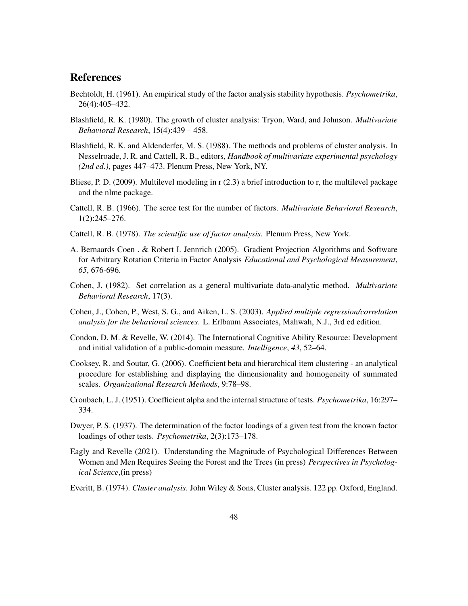# **References**

- Bechtoldt, H. (1961). An empirical study of the factor analysis stability hypothesis. *Psychometrika*, 26(4):405–432.
- Blashfield, R. K. (1980). The growth of cluster analysis: Tryon, Ward, and Johnson. *Multivariate Behavioral Research*, 15(4):439 – 458.
- Blashfield, R. K. and Aldenderfer, M. S. (1988). The methods and problems of cluster analysis. In Nesselroade, J. R. and Cattell, R. B., editors, *Handbook of multivariate experimental psychology (2nd ed.)*, pages 447–473. Plenum Press, New York, NY.
- Bliese, P. D. (2009). Multilevel modeling in r (2.3) a brief introduction to r, the multilevel package and the nlme package.
- Cattell, R. B. (1966). The scree test for the number of factors. *Multivariate Behavioral Research*, 1(2):245–276.
- Cattell, R. B. (1978). *The scientific use of factor analysis*. Plenum Press, New York.
- A. Bernaards Coen . & Robert I. Jennrich (2005). Gradient Projection Algorithms and Software for Arbitrary Rotation Criteria in Factor Analysis *Educational and Psychological Measurement*, *65*, 676-696.
- Cohen, J. (1982). Set correlation as a general multivariate data-analytic method. *Multivariate Behavioral Research*, 17(3).
- Cohen, J., Cohen, P., West, S. G., and Aiken, L. S. (2003). *Applied multiple regression/correlation analysis for the behavioral sciences*. L. Erlbaum Associates, Mahwah, N.J., 3rd ed edition.
- Condon, D. M. & Revelle, W. (2014). The International Cognitive Ability Resource: Development and initial validation of a public-domain measure. *Intelligence*, *43*, 52–64.
- Cooksey, R. and Soutar, G. (2006). Coefficient beta and hierarchical item clustering an analytical procedure for establishing and displaying the dimensionality and homogeneity of summated scales. *Organizational Research Methods*, 9:78–98.
- Cronbach, L. J. (1951). Coefficient alpha and the internal structure of tests. *Psychometrika*, 16:297– 334.
- Dwyer, P. S. (1937). The determination of the factor loadings of a given test from the known factor loadings of other tests. *Psychometrika*, 2(3):173–178.
- Eagly and Revelle (2021). Understanding the Magnitude of Psychological Differences Between Women and Men Requires Seeing the Forest and the Trees (in press) *Perspectives in Psychological Science*,(in press)
- Everitt, B. (1974). *Cluster analysis*. John Wiley & Sons, Cluster analysis. 122 pp. Oxford, England.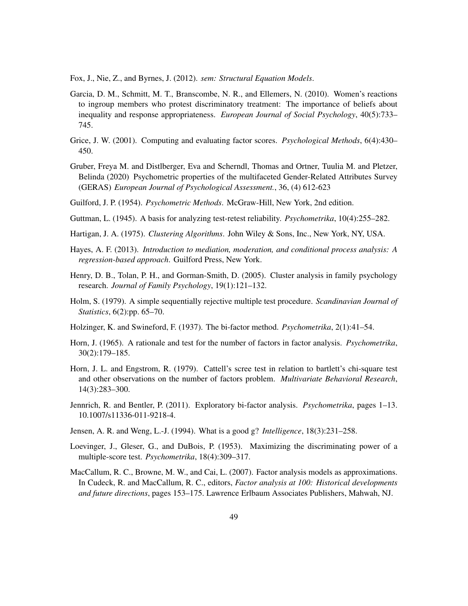Fox, J., Nie, Z., and Byrnes, J. (2012). *sem: Structural Equation Models*.

- Garcia, D. M., Schmitt, M. T., Branscombe, N. R., and Ellemers, N. (2010). Women's reactions to ingroup members who protest discriminatory treatment: The importance of beliefs about inequality and response appropriateness. *European Journal of Social Psychology*, 40(5):733– 745.
- Grice, J. W. (2001). Computing and evaluating factor scores. *Psychological Methods*, 6(4):430– 450.
- Gruber, Freya M. and Distlberger, Eva and Scherndl, Thomas and Ortner, Tuulia M. and Pletzer, Belinda (2020) Psychometric properties of the multifaceted Gender-Related Attributes Survey (GERAS) *European Journal of Psychological Assessment.*, 36, (4) 612-623
- Guilford, J. P. (1954). *Psychometric Methods*. McGraw-Hill, New York, 2nd edition.
- Guttman, L. (1945). A basis for analyzing test-retest reliability. *Psychometrika*, 10(4):255–282.
- Hartigan, J. A. (1975). *Clustering Algorithms*. John Wiley & Sons, Inc., New York, NY, USA.
- Hayes, A. F. (2013). *Introduction to mediation, moderation, and conditional process analysis: A regression-based approach*. Guilford Press, New York.
- Henry, D. B., Tolan, P. H., and Gorman-Smith, D. (2005). Cluster analysis in family psychology research. *Journal of Family Psychology*, 19(1):121–132.
- Holm, S. (1979). A simple sequentially rejective multiple test procedure. *Scandinavian Journal of Statistics*, 6(2):pp. 65–70.
- Holzinger, K. and Swineford, F. (1937). The bi-factor method. *Psychometrika*, 2(1):41–54.
- Horn, J. (1965). A rationale and test for the number of factors in factor analysis. *Psychometrika*, 30(2):179–185.
- Horn, J. L. and Engstrom, R. (1979). Cattell's scree test in relation to bartlett's chi-square test and other observations on the number of factors problem. *Multivariate Behavioral Research*, 14(3):283–300.
- Jennrich, R. and Bentler, P. (2011). Exploratory bi-factor analysis. *Psychometrika*, pages 1–13. 10.1007/s11336-011-9218-4.
- Jensen, A. R. and Weng, L.-J. (1994). What is a good g? *Intelligence*, 18(3):231–258.
- Loevinger, J., Gleser, G., and DuBois, P. (1953). Maximizing the discriminating power of a multiple-score test. *Psychometrika*, 18(4):309–317.
- MacCallum, R. C., Browne, M. W., and Cai, L. (2007). Factor analysis models as approximations. In Cudeck, R. and MacCallum, R. C., editors, *Factor analysis at 100: Historical developments and future directions*, pages 153–175. Lawrence Erlbaum Associates Publishers, Mahwah, NJ.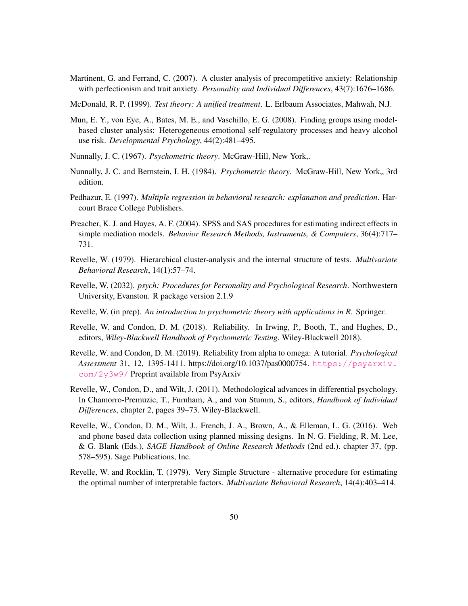Martinent, G. and Ferrand, C. (2007). A cluster analysis of precompetitive anxiety: Relationship with perfectionism and trait anxiety. *Personality and Individual Differences*, 43(7):1676–1686.

McDonald, R. P. (1999). *Test theory: A unified treatment*. L. Erlbaum Associates, Mahwah, N.J.

- Mun, E. Y., von Eye, A., Bates, M. E., and Vaschillo, E. G. (2008). Finding groups using modelbased cluster analysis: Heterogeneous emotional self-regulatory processes and heavy alcohol use risk. *Developmental Psychology*, 44(2):481–495.
- Nunnally, J. C. (1967). *Psychometric theory*. McGraw-Hill, New York,.
- Nunnally, J. C. and Bernstein, I. H. (1984). *Psychometric theory*. McGraw-Hill, New York,, 3rd edition.
- Pedhazur, E. (1997). *Multiple regression in behavioral research: explanation and prediction*. Harcourt Brace College Publishers.
- Preacher, K. J. and Hayes, A. F. (2004). SPSS and SAS procedures for estimating indirect effects in simple mediation models. *Behavior Research Methods, Instruments, & Computers*, 36(4):717– 731.
- Revelle, W. (1979). Hierarchical cluster-analysis and the internal structure of tests. *Multivariate Behavioral Research*, 14(1):57–74.
- Revelle, W. (2032). *psych: Procedures for Personality and Psychological Research*. Northwestern University, Evanston. R package version 2.1.9
- Revelle, W. (in prep). *An introduction to psychometric theory with applications in R*. Springer.
- Revelle, W. and Condon, D. M. (2018). Reliability. In Irwing, P., Booth, T., and Hughes, D., editors, *Wiley-Blackwell Handbook of Psychometric Testing*. Wiley-Blackwell 2018).
- Revelle, W. and Condon, D. M. (2019). Reliability from alpha to omega: A tutorial. *Psychological Assessment* 31, 12, 1395-1411. https://doi.org/10.1037/pas0000754. [https://psyarxiv.](https://psyarxiv.com/2y3w9/) [com/2y3w9/](https://psyarxiv.com/2y3w9/) Preprint available from PsyArxiv
- Revelle, W., Condon, D., and Wilt, J. (2011). Methodological advances in differential psychology. In Chamorro-Premuzic, T., Furnham, A., and von Stumm, S., editors, *Handbook of Individual Differences*, chapter 2, pages 39–73. Wiley-Blackwell.
- Revelle, W., Condon, D. M., Wilt, J., French, J. A., Brown, A., & Elleman, L. G. (2016). Web and phone based data collection using planned missing designs. In N. G. Fielding, R. M. Lee, & G. Blank (Eds.), *SAGE Handbook of Online Research Methods* (2nd ed.). chapter 37, (pp. 578–595). Sage Publications, Inc.
- Revelle, W. and Rocklin, T. (1979). Very Simple Structure alternative procedure for estimating the optimal number of interpretable factors. *Multivariate Behavioral Research*, 14(4):403–414.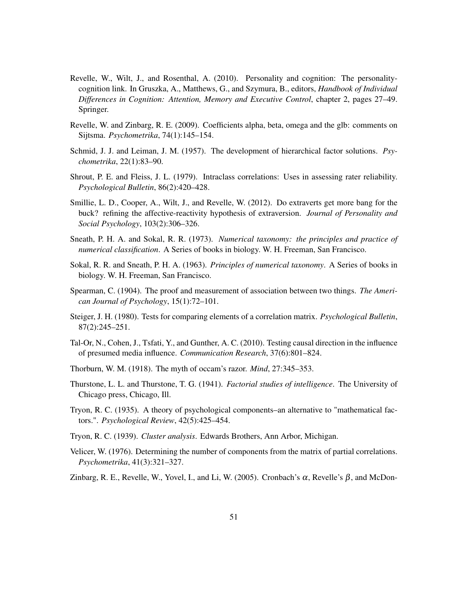- Revelle, W., Wilt, J., and Rosenthal, A. (2010). Personality and cognition: The personalitycognition link. In Gruszka, A., Matthews, G., and Szymura, B., editors, *Handbook of Individual Differences in Cognition: Attention, Memory and Executive Control*, chapter 2, pages 27–49. Springer.
- Revelle, W. and Zinbarg, R. E. (2009). Coefficients alpha, beta, omega and the glb: comments on Sijtsma. *Psychometrika*, 74(1):145–154.
- Schmid, J. J. and Leiman, J. M. (1957). The development of hierarchical factor solutions. *Psychometrika*, 22(1):83–90.
- Shrout, P. E. and Fleiss, J. L. (1979). Intraclass correlations: Uses in assessing rater reliability. *Psychological Bulletin*, 86(2):420–428.
- Smillie, L. D., Cooper, A., Wilt, J., and Revelle, W. (2012). Do extraverts get more bang for the buck? refining the affective-reactivity hypothesis of extraversion. *Journal of Personality and Social Psychology*, 103(2):306–326.
- Sneath, P. H. A. and Sokal, R. R. (1973). *Numerical taxonomy: the principles and practice of numerical classification*. A Series of books in biology. W. H. Freeman, San Francisco.
- Sokal, R. R. and Sneath, P. H. A. (1963). *Principles of numerical taxonomy*. A Series of books in biology. W. H. Freeman, San Francisco.
- Spearman, C. (1904). The proof and measurement of association between two things. *The American Journal of Psychology*, 15(1):72–101.
- Steiger, J. H. (1980). Tests for comparing elements of a correlation matrix. *Psychological Bulletin*, 87(2):245–251.
- Tal-Or, N., Cohen, J., Tsfati, Y., and Gunther, A. C. (2010). Testing causal direction in the influence of presumed media influence. *Communication Research*, 37(6):801–824.
- Thorburn, W. M. (1918). The myth of occam's razor. *Mind*, 27:345–353.
- Thurstone, L. L. and Thurstone, T. G. (1941). *Factorial studies of intelligence*. The University of Chicago press, Chicago, Ill.
- Tryon, R. C. (1935). A theory of psychological components–an alternative to "mathematical factors.". *Psychological Review*, 42(5):425–454.
- Tryon, R. C. (1939). *Cluster analysis*. Edwards Brothers, Ann Arbor, Michigan.
- Velicer, W. (1976). Determining the number of components from the matrix of partial correlations. *Psychometrika*, 41(3):321–327.
- Zinbarg, R. E., Revelle, W., Yovel, I., and Li, W. (2005). Cronbach's  $\alpha$ , Revelle's  $\beta$ , and McDon-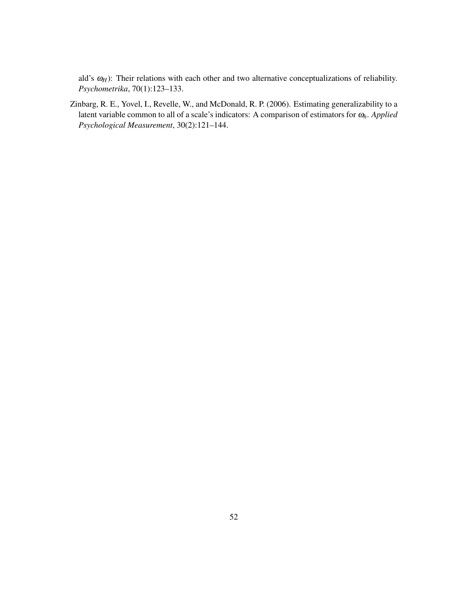ald's  $ω$ <sup>H</sup>): Their relations with each other and two alternative conceptualizations of reliability. *Psychometrika*, 70(1):123–133.

Zinbarg, R. E., Yovel, I., Revelle, W., and McDonald, R. P. (2006). Estimating generalizability to a latent variable common to all of a scale's indicators: A comparison of estimators for <sup>ω</sup>*h*. *Applied Psychological Measurement*, 30(2):121–144.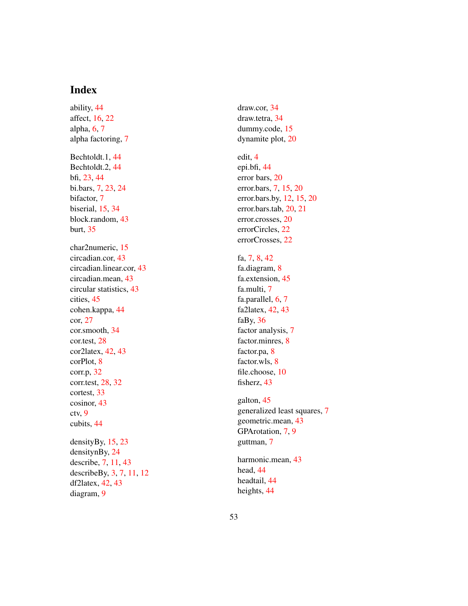# Index

ability, 44 affect, 16 , 22 alpha, 6, 7 alpha factoring, 7 Bechtoldt.1, 44 Bechtoldt.2, 44 bfi, 23 , 44 bi.bars, 7 , 23 , 24 bifactor, 7 biserial, 15 , 34 block.random, 43 burt, 35 char2numeric, 15 circadian.cor, 43 circadian.linear.cor, 43 circadian.mean, 43 circular statistics, 43 cities, 45 cohen.kappa, 44 cor, 27 cor.smooth, 34 cor.test, 28 cor2latex, 42 , 43 corPlot, 8 corr.p, 32 corr.test, 28 , 32 cortest, 33 cosinor, 43 ctv, 9 cubits, 44 densityBy, 15 , 23 densitynBy, 24 describe, 7 , 11 , 43 describeBy, 3 , 7 , 11 , 12 df2latex, 42 , 43 diagram, 9

draw.cor, 34 draw.tetra, 34 dummy.code, 15 dynamite plot, 20

# edit, 4

epi.bfi, 44 error bars, 20 error.bars, 7, 15, 20 error.bars.by, 12 , 15 , 20 error.bars.tab, 20 , 21 error.crosses, 20 errorCircles, 22 errorCrosses, 22

### fa, 7, 8, 42

fa.diagram, 8 fa.extension, 45 fa.multi, 7 fa.parallel, 6, 7 fa2latex, 42 , 43 faBy, 36 factor analysis, 7 factor.minres, 8 factor.pa, 8 factor.wls, 8 file.choose, 10 fisherz, 43

galton, 45 generalized least squares, 7 geometric.mean, 43 GPArotation, 7, 9 guttman, 7

harmonic.mean, 43 head, 44 headtail, 44 heights, 44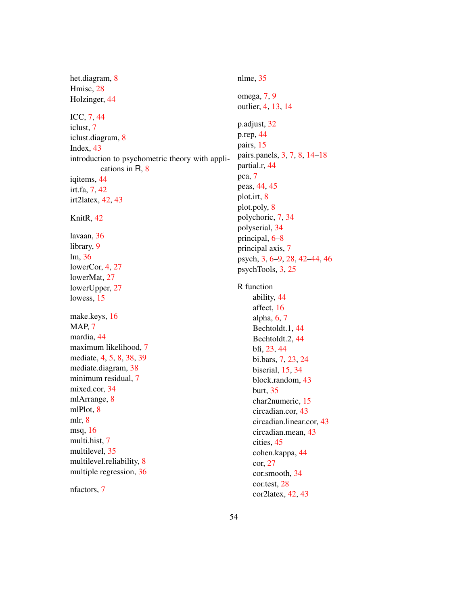het.diagram, 8 Hmisc, 28 Holzinger, 44 ICC, 7, 44 iclust, 7 iclust.diagram, 8 Index, 43 introduction to psychometric theory with applications in R, 8 iqitems, 44 irt.fa, 7, 42 irt2latex, 42, 43 KnitR, 42 lavaan, 36 library, 9 lm, 36 lowerCor, 4, 27 lowerMat, 27 lowerUpper, 27 lowess, 15 make.keys, 16 MAP, 7 mardia, 44 maximum likelihood, 7 mediate, 4, 5, 8, 38, 39 mediate.diagram, 38 minimum residual, 7 mixed.cor, 34 mlArrange, 8 mlPlot, 8 mlr, 8 msq, 16 multi.hist, 7 multilevel, 35 multilevel.reliability, 8 multiple regression, 36

nfactors, 7

nlme, 35 omega, 7, 9 outlier, 4, 13, 14 p.adjust, 32 p.rep, 44 pairs, 15 pairs.panels, 3, 7, 8, 14–18 partial.r, 44 pca, 7 peas, 44, 45 plot.irt, 8 plot.poly, 8 polychoric, 7, 34 polyserial, 34 principal, 6–8 principal axis, 7 psych, 3, 6–9, 28, 42–44, 46 psychTools, 3, 25 R function ability, 44 affect, 16 alpha, 6, 7 Bechtoldt.1, 44 Bechtoldt.2, 44 bfi, 23, 44 bi.bars, 7, 23, 24 biserial, 15, 34 block.random, 43 burt, 35 char2numeric, 15 circadian.cor, 43 circadian.linear.cor, 43 circadian.mean, 43 cities, 45 cohen.kappa, 44 cor, 27

> cor.smooth, 34 cor.test, 28 cor2latex, 42, 43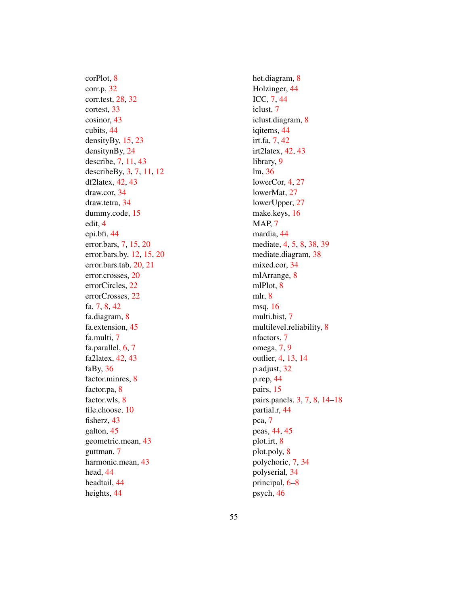corPlot, 8 corr.p, 32 corr.test, 28 , 32 cortest, 33 cosinor, 43 cubits, 44 densityBy, 15 , 23 densitynBy, 24 describe, 7, 11, 43 describeBy, 3, 7, 11, 12 df2latex, 42 , 43 draw.cor, 34 draw.tetra, 34 dummy.code, 15 edit, 4 epi.bfi, 44 error.bars, 7, 15, 20 error.bars.by, 12 , 15 , 20 error.bars.tab, 20 , 21 error.crosses, 20 errorCircles, 22 errorCrosses, 22 fa, 7, 8, 42 fa.diagram, 8 fa.extension, 45 fa.multi, 7 fa.parallel, 6, 7 fa2latex, 42 , 43 faBy, 36 factor.minres, 8 factor.pa, 8 factor.wls, 8 file.choose, 10 fisherz, 43 galton, 45 geometric.mean, 43 guttman, 7 harmonic.mean, 43 head, 44 headtail, 44 heights, 44

het.diagram, 8 Holzinger, 44 ICC, 7 , 44 iclust, 7 iclust.diagram, 8 iqitems, 44 irt.fa, 7, 42 irt2latex, 42 , 43 library, 9 lm, 36 lowerCor, 4, 27 lowerMat, 27 lowerUpper, 27 make.keys, 16 MAP, 7 mardia, 44 mediate, 4, 5, 8, 38, 39 mediate.diagram, 38 mixed.cor, 34 mlArrange, 8 mlPlot, 8 mlr, 8 msq, 16 multi.hist, 7 multilevel.reliability, 8 nfactors, 7 omega, 7 , 9 outlier, 4 , 13 , 14 p.adjust, 32 p.rep, 44 pairs, 15 pairs.panels, 3, 7, 8, 14–18 partial.r, 44 pca, 7 peas, 44 , 45 plot.irt, 8 plot.poly, 8 polychoric, 7 , 34 polyserial, 34 principal, 6 – 8 psych, 46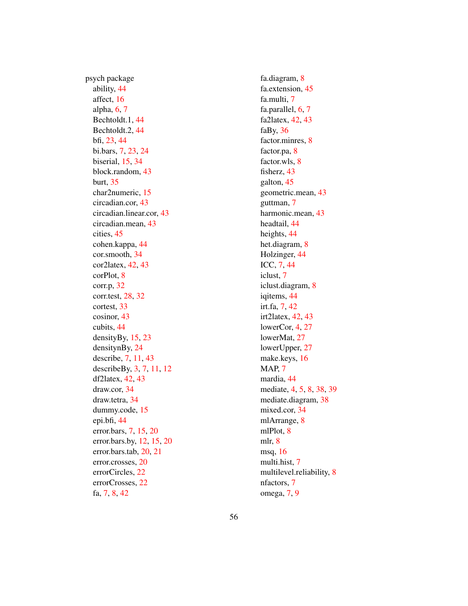psych package ability, 44 affect, 16 alpha, 6, 7 Bechtoldt.1, 44 Bechtoldt.2, 44 bfi, 23 , 44 bi.bars, 7 , 23 , 24 biserial, 15 , 34 block.random, 43 burt, 35 char2numeric, 15 circadian.cor, 43 circadian.linear.cor, 43 circadian.mean, 43 cities, 45 cohen.kappa, 44 cor.smooth, 34 cor2latex, 42 , 43 corPlot, 8 corr.p, 32 corr.test, 28 , 32 cortest, 33 cosinor, 43 cubits, 44 densityBy, 15 , 23 densitynBy, 24 describe, 7 , 11 , 43 describeBy, 3 , 7 , 11 , 12 df2latex, 42 , 43 draw.cor, 34 draw.tetra, 34 dummy.code, 15 epi.bfi, 44 error.bars, 7 , 15 , 20 error.bars.by, 12 , 15 , 20 error.bars.tab, 20 , 21 error.crosses, 20 errorCircles, 22 errorCrosses, 22 fa, 7, 8, 42

fa.diagram, 8 fa.extension, 45 fa.multi, 7 fa.parallel, 6, 7 fa2latex, 42 , 43 faBy, 36 factor.minres, 8 factor.pa, 8 factor.wls, 8 fisherz, 43 galton, 45 geometric.mean, 43 guttman, 7 harmonic.mean, 43 headtail, 44 heights, 44 het.diagram, 8 Holzinger, 44 ICC, 7 , 44 iclust, 7 iclust.diagram, 8 iqitems, 44 irt.fa, 7, 42 irt2latex, 42 , 43 lowerCor, 4, 27 lowerMat, 27 lowerUpper, 27 make.keys, 16 MAP, 7 mardia, 44 mediate, 4, 5, 8, 38, 39 mediate.diagram, 38 mixed.cor, 34 mlArrange, 8 mlPlot, 8 mlr, 8 msq, 16 multi.hist, 7 multilevel.reliability, 8 nfactors, 7 omega, 7 , 9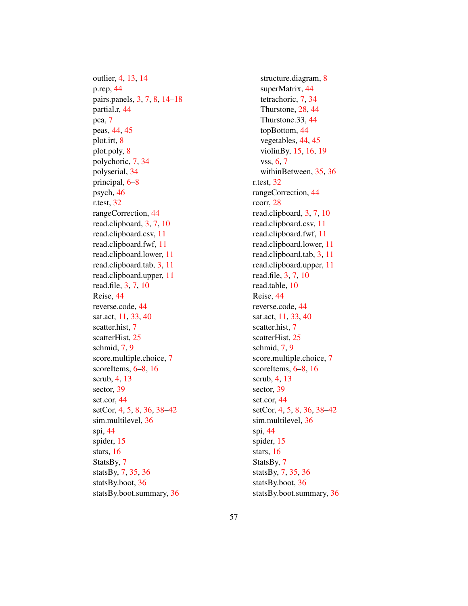outlier, 4, 13, 14 p.rep, 44 pairs.panels, 3, 7, 8, 14–18 partial.r, 44 pca, 7 peas, 44, 45 plot.irt, 8 plot.poly, 8 polychoric, 7, 34 polyserial, 34 principal, 6–8 psych, 46 r.test, 32 rangeCorrection, 44 read.clipboard, 3, 7, 10 read.clipboard.csv, 11 read.clipboard.fwf, 11 read.clipboard.lower, 11 read.clipboard.tab, 3, 11 read.clipboard.upper, 11 read.file, 3, 7, 10 Reise, 44 reverse.code, 44 sat.act, 11, 33, 40 scatter.hist, 7 scatterHist, 25 schmid, 7, 9 score.multiple.choice, 7 scoreItems,  $6-8$ , 16 scrub, 4, 13 sector, 39 set.cor, 44 setCor, 4, 5, 8, 36, 38–42 sim.multilevel, 36 spi, 44 spider, 15 stars, 16 StatsBy, 7 statsBy, 7, 35, 36 statsBy.boot, 36 statsBy.boot.summary, 36

structure.diagram, 8 superMatrix, 44 tetrachoric, 7, 34 Thurstone, 28, 44 Thurstone.33, 44 topBottom, 44 vegetables, 44, 45 violinBy, 15, 16, 19 vss, 6, 7 withinBetween, 35, 36 r.test, 32 rangeCorrection, 44 rcorr, 28 read.clipboard, 3, 7, 10 read.clipboard.csv, 11 read.clipboard.fwf, 11 read.clipboard.lower, 11 read.clipboard.tab, 3, 11 read.clipboard.upper, 11 read.file, 3, 7, 10 read.table, 10 Reise, 44 reverse.code, 44 sat.act, 11, 33, 40 scatter.hist, 7 scatterHist, 25 schmid, 7, 9 score.multiple.choice, 7 scoreItems, 6–8, 16 scrub, 4, 13 sector, 39 set.cor, 44 setCor, 4, 5, 8, 36, 38–42 sim.multilevel, 36 spi, 44 spider, 15 stars, 16 StatsBy, 7 statsBy, 7, 35, 36 statsBy.boot, 36 statsBy.boot.summary, 36